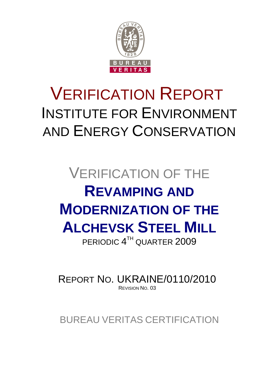

# VERIFICATION REPORT INSTITUTE FOR ENVIRONMENT AND ENERGY CONSERVATION

# VERIFICATION OF THE **REVAMPING AND MODERNIZATION OF THE ALCHEVSK STEEL MILL** PERIODIC 4<sup>TH</sup> QUARTER 2009

REPORT NO. UKRAINE/0110/2010 REVISION NO. 03

BUREAU VERITAS CERTIFICATION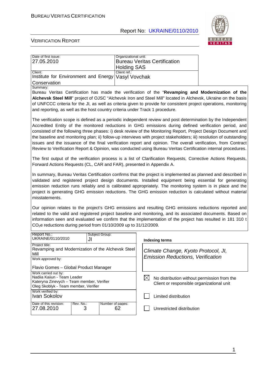

 $\overline{\phantom{a}}$ 

| Date of first issue:<br>27.05.2010                                                                                                                                                                                                                                                                                                                                                                                                                                                                                                                                                                                                                                                                 | Organizational unit:          | <b>Bureau Veritas Certification</b> |                                          |                                                                                          |
|----------------------------------------------------------------------------------------------------------------------------------------------------------------------------------------------------------------------------------------------------------------------------------------------------------------------------------------------------------------------------------------------------------------------------------------------------------------------------------------------------------------------------------------------------------------------------------------------------------------------------------------------------------------------------------------------------|-------------------------------|-------------------------------------|------------------------------------------|------------------------------------------------------------------------------------------|
|                                                                                                                                                                                                                                                                                                                                                                                                                                                                                                                                                                                                                                                                                                    | <b>Holding SAS</b>            |                                     |                                          |                                                                                          |
| Client:<br>Institute for Environment and Energy                                                                                                                                                                                                                                                                                                                                                                                                                                                                                                                                                                                                                                                    | Client ref.:<br>Vasyl Vovchak |                                     |                                          |                                                                                          |
| Conservation<br>Summary:                                                                                                                                                                                                                                                                                                                                                                                                                                                                                                                                                                                                                                                                           |                               |                                     |                                          |                                                                                          |
| Bureau Veritas Certification has made the verification of the "Revamping and Modernization of the                                                                                                                                                                                                                                                                                                                                                                                                                                                                                                                                                                                                  |                               |                                     |                                          |                                                                                          |
| Alchevsk Steel Mill" project of OJSC "Alchevsk Iron and Steel Mill" located in Alchevsk, Ukraine on the basis                                                                                                                                                                                                                                                                                                                                                                                                                                                                                                                                                                                      |                               |                                     |                                          |                                                                                          |
| of UNFCCC criteria for the JI, as well as criteria given to provide for consistent project operations, monitoring<br>and reporting, as well as the host country criteria under Track 1 procedure.                                                                                                                                                                                                                                                                                                                                                                                                                                                                                                  |                               |                                     |                                          |                                                                                          |
| The verification scope is defined as a periodic independent review and post determination by the Independent<br>Accredited Entity of the monitored reductions in GHG emissions during defined verification period, and<br>consisted of the following three phases: i) desk review of the Monitoring Report, Project Design Document and<br>the baseline and monitoring plan; ii) follow-up interviews with project stakeholders; iii) resolution of outstanding<br>issues and the issuance of the final verification report and opinion. The overall verification, from Contract<br>Review to Verification Report & Opinion, was conducted using Bureau Veritas Certification internal procedures. |                               |                                     |                                          |                                                                                          |
| The first output of the verification process is a list of Clarification Requests, Corrective Actions Requests,<br>Forward Actions Requests (CL, CAR and FAR), presented in Appendix A.                                                                                                                                                                                                                                                                                                                                                                                                                                                                                                             |                               |                                     |                                          |                                                                                          |
| In summary, Bureau Veritas Certification confirms that the project is implemented as planned and described in<br>validated and registered project design documents. Installed equipment being essential for generating<br>emission reduction runs reliably and is calibrated appropriately. The monitoring system is in place and the<br>project is generating GHG emission reductions. The GHG emission reduction is calculated without material<br>misstatements.                                                                                                                                                                                                                                |                               |                                     |                                          |                                                                                          |
| Our opinion relates to the project's GHG emissions and resulting GHG emissions reductions reported and<br>related to the valid and registered project baseline and monitoring, and its associated documents. Based on<br>information seen and evaluated we confirm that the implementation of the project has resulted in 181 310 t<br>$CO2e$ reductions during period from 01/10/2009 up to 31/12/2009.                                                                                                                                                                                                                                                                                           |                               |                                     |                                          |                                                                                          |
| Report No.:<br>Subject Group:<br>UKRAINE/0110/2010<br>JI                                                                                                                                                                                                                                                                                                                                                                                                                                                                                                                                                                                                                                           |                               | <b>Indexing terms</b>               |                                          |                                                                                          |
| Project title:<br>Revamping and Modernization of the Alchevsk Steel<br>Mill                                                                                                                                                                                                                                                                                                                                                                                                                                                                                                                                                                                                                        |                               |                                     | Climate Change, Kyoto Protocol, JI,      |                                                                                          |
| Work approved by:                                                                                                                                                                                                                                                                                                                                                                                                                                                                                                                                                                                                                                                                                  |                               |                                     | <b>Emission Reductions, Verification</b> |                                                                                          |
| Flavio Gomes - Global Product Manager                                                                                                                                                                                                                                                                                                                                                                                                                                                                                                                                                                                                                                                              |                               |                                     |                                          |                                                                                          |
| Work carried out by:<br>Nadiia Kaiiun - Team Leader<br>Kateryna Zinevych - Team member, Verifier<br>Oleg Skoblyk - Team member, Verifier                                                                                                                                                                                                                                                                                                                                                                                                                                                                                                                                                           |                               | $\boxtimes$                         |                                          | No distribution without permission from the<br>Client or responsible organizational unit |
| Work verified by:<br>Ivan Sokolov                                                                                                                                                                                                                                                                                                                                                                                                                                                                                                                                                                                                                                                                  |                               |                                     | Limited distribution                     |                                                                                          |
| Date of this revision:<br>Rev. No.:<br>27.08.2010<br>3                                                                                                                                                                                                                                                                                                                                                                                                                                                                                                                                                                                                                                             | Number of pages:<br>62        |                                     | Unrestricted distribution                |                                                                                          |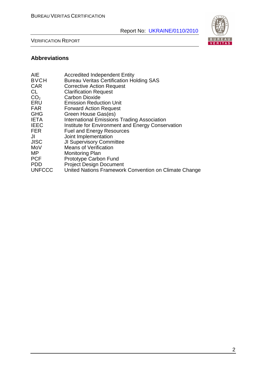

VERIFICATION REPORT

# **Abbreviations**

| <b>AIE</b>      | <b>Accredited Independent Entity</b>                  |
|-----------------|-------------------------------------------------------|
| <b>BVCH</b>     | <b>Bureau Veritas Certification Holding SAS</b>       |
| <b>CAR</b>      | <b>Corrective Action Request</b>                      |
| CL              | <b>Clarification Request</b>                          |
| CO <sub>2</sub> | <b>Carbon Dioxide</b>                                 |
| ERU             | <b>Emission Reduction Unit</b>                        |
| <b>FAR</b>      | <b>Forward Action Request</b>                         |
| <b>GHG</b>      | Green House Gas(es)                                   |
| <b>IETA</b>     | International Emissions Trading Association           |
| <b>IEEC</b>     | Institute for Environment and Energy Conservation     |
| <b>FER</b>      | <b>Fuel and Energy Resources</b>                      |
| JI              | Joint Implementation                                  |
| <b>JISC</b>     | <b>JI Supervisory Committee</b>                       |
| MoV             | <b>Means of Verification</b>                          |
| МP              | <b>Monitoring Plan</b>                                |
| <b>PCF</b>      | <b>Prototype Carbon Fund</b>                          |
| <b>PDD</b>      | <b>Project Design Document</b>                        |
| <b>UNFCCC</b>   | United Nations Framework Convention on Climate Change |
|                 |                                                       |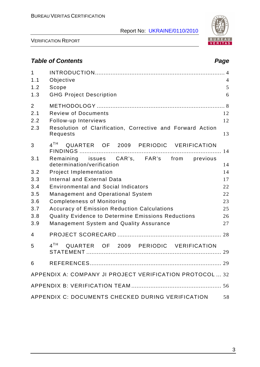

VERIFICATION REPORT

# **Table of Contents Page 2018**

| $\mathbf{1}$<br>1.1<br>1.2<br>1.3   | Objective<br>Scope<br><b>GHG Project Description</b>                                                                         | $\overline{4}$<br>5<br>6 |
|-------------------------------------|------------------------------------------------------------------------------------------------------------------------------|--------------------------|
| $\overline{2}$<br>2.1<br>2.2<br>2.3 | <b>Review of Documents</b><br>Follow-up Interviews<br>Resolution of Clarification, Corrective and Forward Action<br>Requests | 12<br>12<br>13           |
| 3                                   | 4 <sup>TH</sup><br>QUARTER OF 2009 PERIODIC VERIFICATION                                                                     | 14                       |
| 3.1                                 | Remaining issues CAR's, FAR's from previous<br>determination/verification                                                    | 14                       |
| 3.2                                 | <b>Project Implementation</b>                                                                                                | 14                       |
| 3.3                                 | <b>Internal and External Data</b>                                                                                            | 17                       |
| 3.4                                 | <b>Environmental and Social Indicators</b>                                                                                   | 22                       |
| 3.5                                 | <b>Management and Operational System</b>                                                                                     | 22                       |
| 3.6                                 | <b>Completeness of Monitoring</b>                                                                                            | 23                       |
| 3.7                                 | <b>Accuracy of Emission Reduction Calculations</b>                                                                           | 25                       |
| 3.8                                 | Quality Evidence to Determine Emissions Reductions                                                                           | 26                       |
| 3.9                                 | <b>Management System and Quality Assurance</b>                                                                               | 27                       |
| 4                                   |                                                                                                                              |                          |
| 5                                   | 4 <sup>TH</sup><br>QUARTER OF 2009 PERIODIC VERIFICATION                                                                     |                          |
| 6                                   |                                                                                                                              |                          |
|                                     | APPENDIX A: COMPANY JI PROJECT VERIFICATION PROTOCOL  32                                                                     |                          |
|                                     |                                                                                                                              |                          |
|                                     | APPENDIX C: DOCUMENTS CHECKED DURING VERIFICATION                                                                            | 58                       |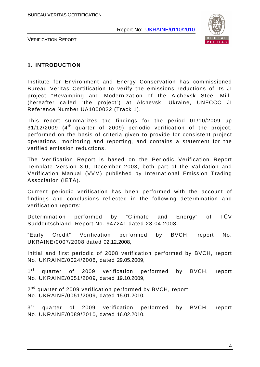

VERIFICATION REPORT

### **1. INTRODUCTION**

Institute for Environment and Energy Conservation has commissioned Bureau Veritas Certification to verify the emissions reductions of its JI project "Revamping and Modernization of the Alchevsk Steel Mill" (hereafter called "the project") at Alchevsk, Ukraine, UNFCCC JI Reference Number UA1000022 (Track 1).

This report summarizes the findings for the period 01/10/2009 up  $31/12/2009$  (4<sup>th</sup> quarter of 2009) periodic verification of the project, performed on the basis of criteria given to provide for consistent project operations, monitoring and reporting, and contains a statement for the verified emission reductions.

The Verification Report is based on the Periodic Verification Report Template Version 3.0, December 2003, both part of the Validation and Verification Manual (VVM) published by International Emission Trading Association (IETA).

Current periodic verification has been performed with the account of findings and conclusions reflected in the following determination and verification reports:

Determination performed by "Climate and Energy" of TÜV Süddeutschland, Report No. 947241 dated 23.04.2008.

"Early Credit" Verification performed by BVCH, report No. UKRAINE/0007/2008 dated 02.12.2008,

Initial and first periodic of 2008 verification performed by BVCH, report No. UKRAINE/0024/2008, dated 29.05.2009,

 $1<sup>st</sup>$ quarter of 2009 verification performed by BVCH, report No. UKRAINE/0051/2009, dated 19.10.2009,

2<sup>nd</sup> quarter of 2009 verification performed by BVCH, report No. UKRAINE/0051/2009, dated 15.01.2010,

 $3<sup>rd</sup>$ quarter of 2009 verification performed by BVCH, report No. UKRAINE/0089/2010, dated 16.02.2010.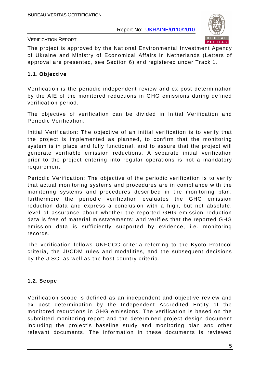

#### VERIFICATION REPORT

The project is approved by the National Environmental Investment Agency of Ukraine and Ministry of Economical Affairs in Netherlands (Letters of approval are presented, see Section 6) and registered under Track 1.

#### **1.1. Objective**

Verification is the periodic independent review and ex post determination by the AIE of the monitored reductions in GHG emissions during defined verification period.

The objective of verification can be divided in Initial Verification and Periodic Verification.

Initial Verification: The objective of an initial verification is to verify that the project is implemented as planned, to confirm that the monitoring system is in place and fully functional, and to assure that the project will generate verifiable emission reductions. A separate initial verification prior to the project entering into regular operations is not a mandatory requirement.

Periodic Verification: The objective of the periodic verification is to verify that actual monitoring systems and procedures are in compliance with the monitoring systems and procedures described in the monitoring plan; furthermore the periodic verification evaluates the GHG emission reduction data and express a conclusion with a high, but not absolute, level of assurance about whether the reported GHG emission reduction data is free of material misstatements; and verifies that the reported GHG emission data is sufficiently supported by evidence, i.e. monitoring records.

The verification follows UNFCCC criteria referring to the Kyoto Protocol criteria, the JI/CDM rules and modalities, and the subsequent decisions by the JISC, as well as the host country criteria.

### **1.2. Scope**

Verification scope is defined as an independent and objective review and ex post determination by the Independent Accredited Entity of the monitored reductions in GHG emissions. The verification is based on the submitted monitoring report and the determined project design document including the project's baseline study and monitoring plan and other relevant documents. The information in these documents is reviewed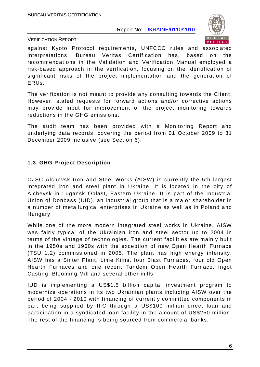

VERIFICATION REPORT

against Kyoto Protocol requirements, UNFCCC rules and associated interpretations. Bureau Veritas Certification has, based on the recommendations in the Validation and Verification Manual employed a risk-based approach in the verification, focusing on the identification of significant risks of the project implementation and the generation of ERUs.

The verification is not meant to provide any consulting towards the Client. However, stated requests for forward actions and/or corrective actions may provide input for improvement of the project monitoring towards reductions in the GHG emissions.

The audit team has been provided with a Monitoring Report and underlying data records, covering the period from 01 October 2009 to 31 December 2009 inclusive (see Section 6).

### **1.3. GHG Project Description**

OJSC Alchevsk Iron and Steel Works (AISW) is currently the 5th largest integrated iron and steel plant in Ukraine. It is located in the city of Alchevsk in Lugansk Oblast, Eastern Ukraine. It is part of the Industrial Union of Donbass (IUD), an industrial group that is a major shareholder in a number of metallurgical enterprises in Ukraine as well as in Poland and Hungary.

While one of the more modern integrated steel works in Ukraine, AISW was fairly typical of the Ukrainian iron and steel sector up to 2004 in terms of the vintage of technologies. The current facilities are mainly built in the 1950s and 1960s with the exception of new Open Hearth Furnace (TSU 1,2) commissioned in 2005. The plant has high energy intensity. AISW has a Sinter Plant, Lime Kilns, four Blast Furnaces, four old Open Hearth Furnaces and one recent Tandem Open Hearth Furnace, Ingot Casting, Blooming Mill and several other mills.

IUD is implementing a US\$1.5 billion capital investment program to modernize operations in its two Ukrainian plants including AISW over the period of 2004 - 2010 with financing of currently committed components in part being supplied by IFC through a US\$100 million direct loan and participation in a syndicated loan facility in the amount of US\$250 million. The rest of the financing is being sourced from commercial banks.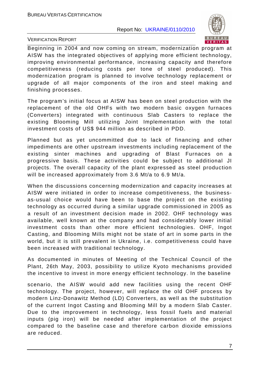

VERIFICATION REPORT

Beginning in 2004 and now coming on stream, modernization program at AISW has the integrated objectives of applying more efficient technology, improving environmental performance, increasing capacity and therefore competitiveness (reducing costs per tone of steel produced). This modernization program is planned to involve technology replacement or upgrade of all major components of the iron and steel making and finishing processes.

The program's initial focus at AISW has been on steel production with the replacement of the old OHFs with two modern basic oxygen furnaces (Converters) integrated with continuous Slab Casters to replace the existing Blooming Mill utilizing Joint Implementation with the total investment costs of US\$ 944 million as described in PDD.

Planned but as yet uncommitted due to lack of financing and other impediments are other upstream investments including replacement of the existing sinter machines and upgrading of Blast Furnaces on a progressive basis. These activities could be subject to additional JI projects. The overall capacity of the plant expressed as steel production will be increased approximately from 3.6 Mt/a to 6.9 Mt/a.

When the discussions concerning modernization and capacity increases at AISW were initiated in order to increase competitiveness, the businessas-usual choice would have been to base the project on the existing technology as occurred during a similar upgrade commissioned in 2005 as a result of an investment decision made in 2002. OHF technology was available, well known at the company and had considerably lower initial investment costs than other more efficient technologies. OHF, Ingot Casting, and Blooming Mills might not be state of art in some parts in the world, but it is still prevalent in Ukraine, i.e. competitiveness could have been increased with traditional technology.

As documented in minutes of Meeting of the Technical Council of the Plant, 26th May, 2003, possibility to utilize Kyoto mechanisms provided the incentive to invest in more energy efficient technology. In the baseline

scenario, the AISW would add new facilities using the recent OHF technology. The project, however, will replace the old OHF process by modern Linz-Donawitz Method (LD) Converters, as well as the substitution of the current Ingot Casting and Blooming Mill by a modern Slab Caster. Due to the improvement in technology, less fossil fuels and material inputs (pig iron) will be needed after implementation of the project compared to the baseline case and therefore carbon dioxide emissions are reduced.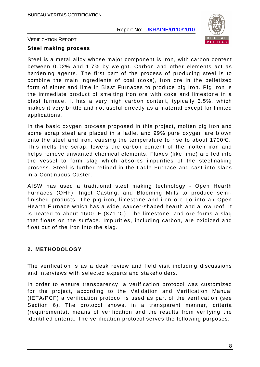

VERIFICATION REPORT

#### **Steel making process**

Steel is a metal alloy whose major component is iron, with carbon content between 0.02% and 1.7% by weight. Carbon and other elements act as hardening agents. The first part of the process of producing steel is to combine the main ingredients of coal (coke), iron ore in the pelletized form of sinter and lime in Blast Furnaces to produce pig iron. Pig iron is the immediate product of smelting iron ore with coke and limestone in a blast furnace. It has a very high carbon content, typically 3.5%, which makes it very brittle and not useful directly as a material except for limited applications.

In the basic oxygen process proposed in this project, molten pig iron and some scrap steel are placed in a ladle, and 99% pure oxygen are blown onto the steel and iron, causing the temperature to rise to about 1700°C. This melts the scrap, lowers the carbon content of the molten iron and helps remove unwanted chemical elements. Fluxes (like lime) are fed into the vessel to form slag which absorbs impurities of the steelmaking process. Steel is further refined in the Ladle Furnace and cast into slabs in a Continuous Caster.

AISW has used a traditional steel making technology - Open Hearth Furnaces (OHF), Ingot Casting, and Blooming Mills to produce semifinished products. The pig iron, limestone and iron ore go into an Open Hearth Furnace which has a wide, saucer-shaped hearth and a low roof. It is heated to about 1600  $\mathcal{F}$  (871 °C). The limestone and ore forms a slag that floats on the surface. Impurities, including carbon, are oxidized and float out of the iron into the slag.

#### **2. METHODOLOGY**

The verification is as a desk review and field visit including discussions and interviews with selected experts and stakeholders.

In order to ensure transparency, a verification protocol was customized for the project, according to the Validation and Verification Manual (IETA/PCF) a verification protocol is used as part of the verification (see Section 6). The protocol shows, in a transparent manner, criteria (requirements), means of verification and the results from verifying the identified criteria. The verification protocol serves the following purposes: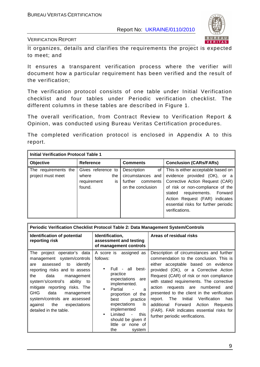

VERIFICATION REPORT

It organizes, details and clarifies the requirements the project is expected to meet; and

It ensures a transparent verification process where the verifier will document how a particular requirement has been verified and the result of the verification;

The verification protocol consists of one table under Initial Verification checklist and four tables under Periodic verification checklist. The different columns in these tables are described in Figure 1.

The overall verification, from Contract Review to Verification Report & Opinion, was conducted using Bureau Veritas Certification procedures.

The completed verification protocol is enclosed in Appendix A to this report.

| <b>Initial Verification Protocol Table 1</b> |                                                                   |                                                                                    |                                                                                                                                                                                                                                                                          |  |  |
|----------------------------------------------|-------------------------------------------------------------------|------------------------------------------------------------------------------------|--------------------------------------------------------------------------------------------------------------------------------------------------------------------------------------------------------------------------------------------------------------------------|--|--|
| Objective                                    | <b>Reference</b>                                                  | <b>Comments</b>                                                                    | <b>Conclusion (CARs/FARs)</b>                                                                                                                                                                                                                                            |  |  |
| The requirements the<br>project must meet    | Gives reference to<br>where<br>the<br>is<br>requirement<br>found. | Description<br>οf<br>circumstances and<br>further<br>comments<br>on the conclusion | This is either acceptable based on<br>evidence provided (OK), or a<br>Corrective Action Request (CAR)<br>of risk or non-compliance of the<br>requirements. Forward<br>stated<br>Action Request (FAR) indicates<br>essential risks for further periodic<br>verifications. |  |  |

| Periodic Verification Checklist Protocol Table 2: Data Management System/Controls                                                                                                                                                                                                                                                                           |                                                                                                                                                                                                                                                                                                                                                  |                                                                                                                                                                                                                                                                                                                                                                                                                                                                                                                                 |  |
|-------------------------------------------------------------------------------------------------------------------------------------------------------------------------------------------------------------------------------------------------------------------------------------------------------------------------------------------------------------|--------------------------------------------------------------------------------------------------------------------------------------------------------------------------------------------------------------------------------------------------------------------------------------------------------------------------------------------------|---------------------------------------------------------------------------------------------------------------------------------------------------------------------------------------------------------------------------------------------------------------------------------------------------------------------------------------------------------------------------------------------------------------------------------------------------------------------------------------------------------------------------------|--|
| <b>Identification of potential</b><br>reporting risk                                                                                                                                                                                                                                                                                                        | Identification,<br>assessment and testing<br>of management controls                                                                                                                                                                                                                                                                              | Areas of residual risks                                                                                                                                                                                                                                                                                                                                                                                                                                                                                                         |  |
| The project operator's data<br>management system/controls<br>identify<br>assessed to<br>are<br>reporting risks and to assess<br>data<br>the<br>management<br>system's/control's ability to<br>mitigate reporting risks. The<br><b>GHG</b><br>data<br>management<br>system/controls are assessed<br>the<br>against<br>expectations<br>detailed in the table. | A score is assigned as<br>follows:<br>Full - all best-<br>$\bullet$<br>practice<br>expectations are<br>implemented.<br>Partial<br>a<br>proportion of the<br>practice<br>best<br>expectations<br><b>is</b><br>implemented<br>Limited<br>this<br>$\overline{\phantom{a}}$<br>$\bullet$<br>should be given if<br>little or none of<br>the<br>system | Description of circumstances and further<br>commendation to the conclusion. This is<br>either acceptable based on evidence<br>provided (OK), or a Corrective Action<br>Request (CAR) of risk or non compliance<br>with stated requirements. The corrective<br>action<br>requests are numbered<br>and<br>presented to the client in the verification<br>Verification<br>The<br>Initial<br>report.<br>has<br>additional Forward Action<br>Requests<br>(FAR). FAR indicates essential risks for<br>further periodic verifications. |  |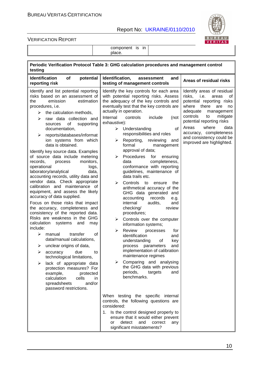

VERIFICATION REPORT

|                                                                                                                                                                                                                                                                                                                                                                                                                                                                                                                                                                                                                                                                                                                                                                                                                                                                                                                                                                                                                                                                                                                                                                                                                            | place.                                                                                                                                                                                                                                                                                                                                                                                                                                                                                                                                                                                                                                                                                                                                                                                                                                                                                                                                                                                                                                                                                                                                   |                                                                                                                                                                                                                                                                                                                           |
|----------------------------------------------------------------------------------------------------------------------------------------------------------------------------------------------------------------------------------------------------------------------------------------------------------------------------------------------------------------------------------------------------------------------------------------------------------------------------------------------------------------------------------------------------------------------------------------------------------------------------------------------------------------------------------------------------------------------------------------------------------------------------------------------------------------------------------------------------------------------------------------------------------------------------------------------------------------------------------------------------------------------------------------------------------------------------------------------------------------------------------------------------------------------------------------------------------------------------|------------------------------------------------------------------------------------------------------------------------------------------------------------------------------------------------------------------------------------------------------------------------------------------------------------------------------------------------------------------------------------------------------------------------------------------------------------------------------------------------------------------------------------------------------------------------------------------------------------------------------------------------------------------------------------------------------------------------------------------------------------------------------------------------------------------------------------------------------------------------------------------------------------------------------------------------------------------------------------------------------------------------------------------------------------------------------------------------------------------------------------------|---------------------------------------------------------------------------------------------------------------------------------------------------------------------------------------------------------------------------------------------------------------------------------------------------------------------------|
| testing                                                                                                                                                                                                                                                                                                                                                                                                                                                                                                                                                                                                                                                                                                                                                                                                                                                                                                                                                                                                                                                                                                                                                                                                                    | Periodic Verification Protocol Table 3: GHG calculation procedures and management control                                                                                                                                                                                                                                                                                                                                                                                                                                                                                                                                                                                                                                                                                                                                                                                                                                                                                                                                                                                                                                                |                                                                                                                                                                                                                                                                                                                           |
| <b>Identification</b><br>of<br>potential<br>reporting risk                                                                                                                                                                                                                                                                                                                                                                                                                                                                                                                                                                                                                                                                                                                                                                                                                                                                                                                                                                                                                                                                                                                                                                 | Identification,<br>and<br>assessment<br>testing of management controls                                                                                                                                                                                                                                                                                                                                                                                                                                                                                                                                                                                                                                                                                                                                                                                                                                                                                                                                                                                                                                                                   | Areas of residual risks                                                                                                                                                                                                                                                                                                   |
| Identify and list potential reporting<br>risks based on an assessment of<br>emission<br>estimation<br>the<br>procedures, i.e.<br>the calculation methods,<br>≻<br>raw data collection and<br>⋗<br>of<br>supporting<br>sources<br>documentation,<br>reports/databases/informat<br>➤<br>ion systems from which<br>data is obtained.<br>Identify key source data. Examples<br>of source data include metering<br>monitors.<br>records,<br>process<br>operational<br>logs,<br>laboratory/analytical<br>data,<br>accounting records, utility data and<br>vendor data. Check appropriate<br>calibration and maintenance of<br>equipment, and assess the likely<br>accuracy of data supplied.<br>Focus on those risks that impact<br>the accuracy, completeness and<br>consistency of the reported data.<br>Risks are weakness in the GHG<br>calculation<br>systems<br>and<br>may<br>include:<br>transfer<br>0f<br>⋗<br>manual<br>data/manual calculations,<br>unclear origins of data,<br>➤<br>due<br>➤<br>accuracy<br>to<br>technological limitations,<br>lack of appropriate data<br>➤<br>protection measures? For<br>example,<br>protected<br>calculation<br>cells<br>in.<br>and/or<br>spreadsheets<br>password restrictions. | Identify the key controls for each area<br>with potential reporting risks. Assess<br>the adequacy of the key controls and<br>eventually test that the key controls are<br>actually in operation.<br>Internal<br>controls<br>include<br>(not<br>exhaustive):<br>of<br>➤<br>Understanding<br>responsibilities and roles<br>Reporting, reviewing<br>➤<br>and<br>formal<br>management<br>approval of data;<br>Procedures<br>for<br>ensuring<br>➤<br>completeness,<br>data<br>conformance with reporting<br>guidelines, maintenance of<br>data trails etc.<br>➤<br>Controls<br>to<br>the<br>ensure<br>arithmetical accuracy of the<br>GHG data generated<br>and<br>accounting<br>records<br>e.g.<br>audits,<br>internal<br>and<br>checking/<br>review<br>procedures;<br>Controls over the computer<br>➤<br>information systems;<br>$\blacktriangleright$<br>Review<br>processes<br>for<br>identification<br>and<br>understanding<br>of<br>key<br>process parameters<br>and<br>implementation of calibration<br>maintenance regimes<br>Comparing and analysing<br>➤<br>the GHG data with previous<br>periods,<br>targets<br>and<br>benchmarks. | Identify areas of residual<br>risks,<br>i.e.<br>areas<br>0t<br>potential reporting risks<br>where<br>there<br>are<br>no<br>adequate<br>management<br>controls<br>to<br>mitigate<br>potential reporting risks<br>where<br>Areas<br>data<br>accuracy, completeness<br>and consistency could be<br>improved are highlighted. |
|                                                                                                                                                                                                                                                                                                                                                                                                                                                                                                                                                                                                                                                                                                                                                                                                                                                                                                                                                                                                                                                                                                                                                                                                                            | When testing the specific internal<br>controls, the following questions are<br>considered:                                                                                                                                                                                                                                                                                                                                                                                                                                                                                                                                                                                                                                                                                                                                                                                                                                                                                                                                                                                                                                               |                                                                                                                                                                                                                                                                                                                           |
|                                                                                                                                                                                                                                                                                                                                                                                                                                                                                                                                                                                                                                                                                                                                                                                                                                                                                                                                                                                                                                                                                                                                                                                                                            | 1. Is the control designed properly to<br>ensure that it would either prevent<br>detect and<br>correct<br>or<br>any<br>significant misstatements?                                                                                                                                                                                                                                                                                                                                                                                                                                                                                                                                                                                                                                                                                                                                                                                                                                                                                                                                                                                        |                                                                                                                                                                                                                                                                                                                           |

component is in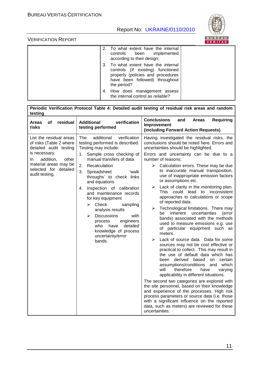

| 2. To what extent have the internal<br>controls been implemented<br>according to their design;                                                                 |
|----------------------------------------------------------------------------------------------------------------------------------------------------------------|
| 3. To what extent have the internal<br>controls (if existing) functioned<br>properly (policies and procedures<br>have been followed) throughout<br>the period? |
| 4. How does management assess<br>the internal control as reliable?                                                                                             |

| Periodic Verification Protocol Table 4: Detailed audit testing of residual risk areas and random<br>testing                                                                                   |                                                                                                                                                                                                                                                                                                                                                                                                                                                                                                                                            |                                                                                                                                                                                                                                                                                                                                                                                                                                                                                                                                                                                                                                                                                                                                                                                                                                                                                                                                                                                                                                                                                                                                                                                                                                                                                                                                                                                                                |  |  |
|-----------------------------------------------------------------------------------------------------------------------------------------------------------------------------------------------|--------------------------------------------------------------------------------------------------------------------------------------------------------------------------------------------------------------------------------------------------------------------------------------------------------------------------------------------------------------------------------------------------------------------------------------------------------------------------------------------------------------------------------------------|----------------------------------------------------------------------------------------------------------------------------------------------------------------------------------------------------------------------------------------------------------------------------------------------------------------------------------------------------------------------------------------------------------------------------------------------------------------------------------------------------------------------------------------------------------------------------------------------------------------------------------------------------------------------------------------------------------------------------------------------------------------------------------------------------------------------------------------------------------------------------------------------------------------------------------------------------------------------------------------------------------------------------------------------------------------------------------------------------------------------------------------------------------------------------------------------------------------------------------------------------------------------------------------------------------------------------------------------------------------------------------------------------------------|--|--|
| <b>of</b><br>residual<br>Areas<br>risks                                                                                                                                                       | verification<br><b>Additional</b><br>testing performed                                                                                                                                                                                                                                                                                                                                                                                                                                                                                     | <b>Conclusions</b><br><b>Requiring</b><br>and<br><b>Areas</b><br>Improvement<br>(including Forward Action Requests)                                                                                                                                                                                                                                                                                                                                                                                                                                                                                                                                                                                                                                                                                                                                                                                                                                                                                                                                                                                                                                                                                                                                                                                                                                                                                            |  |  |
| List the residual areas<br>of risks (Table 2 where<br>detailed audit testing<br>is necessary.<br>addition,<br>other<br>In<br>material areas may be<br>selected for detailed<br>audit testing. | The<br>additional<br>verification<br>testing performed is described.<br>Testing may include:<br>Sample cross checking of<br>1.<br>manual transfers of data<br>2.<br>Recalculation<br>3.<br>Spreadsheet<br>ʻwalk<br>throughs' to check links<br>and equations<br>Inspection of calibration<br>4.<br>and maintenance records<br>for key equipment<br>Check<br>⋗<br>sampling<br>analysis results<br><b>Discussions</b><br>⋗<br>with<br>engineers<br>process<br>detailed<br>who<br>have<br>knowledge of process<br>uncertainty/error<br>bands. | Having investigated the residual risks, the<br>conclusions should be noted here. Errors and<br>uncertainties should be highlighted.<br>Errors and uncertainty can be due to a<br>number of reasons:<br>$\triangleright$<br>Calculation errors. These may be due<br>to inaccurate manual transposition,<br>use of inappropriate emission factors<br>or assumptions etc.<br>Lack of clarity in the monitoring plan.<br>➤<br>This could lead to inconsistent<br>approaches to calculations or scope<br>of reported data.<br>Technological limitations. There may<br>≻<br>inherent<br>uncertainties<br>be<br>(error<br>bands) associated with the methods<br>used to measure emissions e.g. use<br>of particular equipment such as<br>meters.<br>Lack of source data. Data for some<br>$\blacktriangleright$<br>sources may not be cost effective or<br>practical to collect. This may result in<br>the use of default data which has<br>been derived based<br>on certain<br>assumptions/conditions<br>and which<br>will<br>therefore<br>have<br>varying<br>applicability in different situations.<br>The second two categories are explored with<br>the site personnel, based on their knowledge<br>and experience of the processes. High risk<br>process parameters or source data (i.e. those<br>with a significant influence on the reported<br>data, such as meters) are reviewed for these<br>uncertainties. |  |  |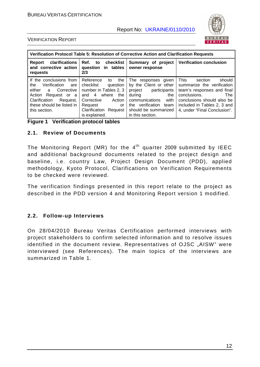

#### VERIFICATION REPORT

| Verification Protocol Table 5: Resolution of Corrective Action and Clarification Requests                                                                                            |                                                                                                                                                                                               |                                                                                                                                                                                             |                                                                                                                                                                                                                         |  |
|--------------------------------------------------------------------------------------------------------------------------------------------------------------------------------------|-----------------------------------------------------------------------------------------------------------------------------------------------------------------------------------------------|---------------------------------------------------------------------------------------------------------------------------------------------------------------------------------------------|-------------------------------------------------------------------------------------------------------------------------------------------------------------------------------------------------------------------------|--|
| clarifications<br>Report<br>and corrective action<br>requests                                                                                                                        | Ref. to checklist<br>question in tables<br>2/3                                                                                                                                                | Summary of project<br>owner response                                                                                                                                                        | <b>Verification conclusion</b>                                                                                                                                                                                          |  |
| If the conclusions from<br>Verification<br>the<br>are<br>either a<br>Corrective<br>Request or a<br>Action<br>Clarification<br>Request,<br>these should be listed in<br>this section. | Reference<br>the<br>to<br>checklist<br>question<br>number in Tables 2, 3<br>where<br>and $4$<br>the<br>Corrective<br>Action<br>Request<br>0r<br><b>Clarification Request</b><br>is explained. | The responses given<br>by the Client or other<br>project<br>participants<br>during<br>the<br>communications<br>with<br>verification team<br>the<br>should be summarized<br>in this section. | <b>This</b><br>should<br>section<br>summarize the verification<br>team's responses and final<br>conclusions.<br><b>The</b><br>conclusions should also be<br>included in Tables 2, 3 and<br>4, under "Final Conclusion". |  |

**Figure 1 Verification protocol tables** 

#### **2.1. Review of Documents**

The Monitoring Report (MR) for the  $4<sup>th</sup>$  quarter 2009 submitted by IEEC and additional background documents related to the project design and baseline, i.e. country Law, Project Design Document (PDD), applied methodology, Kyoto Protocol, Clarifications on Verification Requirements to be checked were reviewed.

The verification findings presented in this report relate to the project as described in the PDD version 4 and Monitoring Report version 1 modified.

#### **2.2. Follow-up Interviews**

On 28/04/2010 Bureau Veritas Certification performed interviews with project stakeholders to confirm selected information and to resolve issues identified in the document review. Representatives of OJSC "AISW" were interviewed (see References). The main topics of the interviews are summarized in Table 1.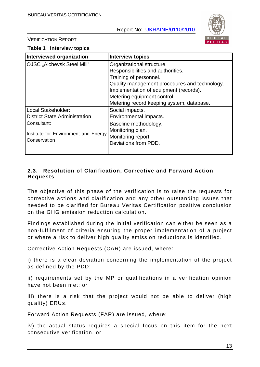

VERIFICATION REPORT

| Table 1 Interview topics                                            |                                                                                                                                                                                                                                                                 |  |  |  |
|---------------------------------------------------------------------|-----------------------------------------------------------------------------------------------------------------------------------------------------------------------------------------------------------------------------------------------------------------|--|--|--|
| <b>Interviewed organization</b>                                     | <b>Interview topics</b>                                                                                                                                                                                                                                         |  |  |  |
| OJSC "Alchevsk Steel Mill"                                          | Organizational structure.<br>Responsibilities and authorities.<br>Training of personnel.<br>Quality management procedures and technology.<br>Implementation of equipment (records).<br>Metering equipment control.<br>Metering record keeping system, database. |  |  |  |
| Local Stakeholder:<br><b>District State Administration</b>          | Social impacts.<br>Environmental impacts.                                                                                                                                                                                                                       |  |  |  |
| Consultant:<br>Institute for Environment and Energy<br>Conservation | Baseline methodology.<br>Monitoring plan.<br>Monitoring report.<br>Deviations from PDD.                                                                                                                                                                         |  |  |  |

#### **2.3. Resolution of Clarification, Corrective and Forward Action Requests**

The objective of this phase of the verification is to raise the requests for corrective actions and clarification and any other outstanding issues that needed to be clarified for Bureau Veritas Certification positive conclusion on the GHG emission reduction calculation.

Findings established during the initial verification can either be seen as a non-fulfilment of criteria ensuring the proper implementation of a project or where a risk to deliver high quality emission reductions is identified.

Corrective Action Requests (CAR) are issued, where:

i) there is a clear deviation concerning the implementation of the project as defined by the PDD;

ii) requirements set by the MP or qualifications in a verification opinion have not been met; or

iii) there is a risk that the project would not be able to deliver (high quality) ERUs.

Forward Action Requests (FAR) are issued, where:

iv) the actual status requires a special focus on this item for the next consecutive verification, or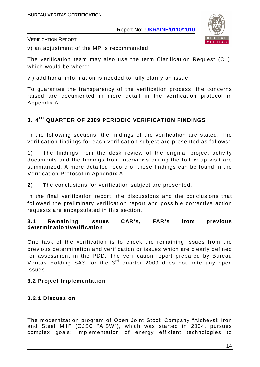

VERIFICATION REPORT

v) an adjustment of the MP is recommended.

The verification team may also use the term Clarification Request (CL), which would be where:

vi) additional information is needed to fully clarify an issue.

To guarantee the transparency of the verification process, the concerns raised are documented in more detail in the verification protocol in Appendix A.

# **3. 4TH QUARTER OF 2009 PERIODIC VERIFICATION FINDINGS**

In the following sections, the findings of the verification are stated. The verification findings for each verification subject are presented as follows:

1) The findings from the desk review of the original project activity documents and the findings from interviews during the follow up visit are summarized. A more detailed record of these findings can be found in the Verification Protocol in Appendix A.

2) The conclusions for verification subject are presented.

In the final verification report, the discussions and the conclusions that followed the preliminary verification report and possible corrective action requests are encapsulated in this section.

#### **3.1 Remaining issues CAR's, FAR's from previous determination/verification**

One task of the verification is to check the remaining issues from the previous determination and verification or issues which are clearly defined for assessment in the PDD. The verification report prepared by Bureau Veritas Holding SAS for the 3<sup>rd</sup> quarter 2009 does not note any open issues.

### **3.2 Project Implementation**

# **3.2.1 Discussion**

The modernization program of Open Joint Stock Company "Alchevsk Iron and Steel Mill" (OJSC "AISW"), which was started in 2004, pursues complex goals: implementation of energy efficient technologies to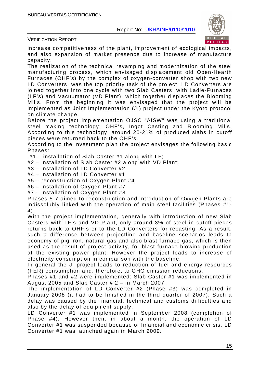

VERIFICATION REPORT

increase competitiveness of the plant, improvement of ecological impacts, and also expansion of market presence due to increase of manufacture capacity.

The realization of the technical revamping and modernization of the steel manufacturing process, which envisaged displacement old Open-Hearth Furnaces (OHF's) by the complex of oxygen-converter shop with two new LD Converters, was the top priority task of the project. LD Converters are joined together into one cycle with two Slab Casters, with Ladle-Furnaces (LF's) and Vacuumator (VD Plant), which together displaces the Blooming Mills. From the beginning it was envisaged that the project will be implemented as Joint Implementation (JI) project under the Kyoto protocol on climate change.

Before the project implementation OJSC "AISW" was using a traditional steel making technology: OHF's, Ingot Casting and Blooming Mills. According to this technology, around 20-21% of produced slabs in cutoff pieces were returned back to the OHF's.

According to the investment plan the project envisages the following basic Phases:

#1 – installation of Slab Caster #1 along with LF;

#2 – installation of Slab Caster #2 along with VD Plant;

#3 – installation of LD Converter #2

#4 – installation of LD Converter #1

#5 – reconstruction of Oxygen Plant #4

#6 – installation of Oxygen Plant #7

#7 – installation of Oxygen Plant #8

Phases 5-7 aimed to reconstruction and introduction of Oxygen Plants are indissolubly linked with the operation of main steel facilities (Phases #1- 4).

With the project implementation, generally with introduction of new Slab Casters with LF's and VD Plant, only around 3% of steel in cutoff pieces returns back to OHF's or to the LD Converters for recasting. As a result, such a difference between projectline and baseline scenarios leads to economy of pig iron, natural gas and also blast furnace gas, which is then used as the result of project activity, for blast furnace blowing production at the existing power plant. However the project leads to increase of electricity consumption in comparison with the baseline.

In general the JI project leads to reduction of fuel and energy resources (FER) consumption and, therefore, to GHG emission reductions.

Phases #1 and #2 were implemented: Slab Caster #1 was implemented in August 2005 and Slab Caster # 2 – in March 2007.

The implementation of LD Converter #2 (Phase #3) was completed in January 2008 (it had to be finished in the third quarter of 2007). Such a delay was caused by the financial, technical and customs difficulties and also by the delay of equipment supply.

LD Converter #1 was implemented in September 2008 (completion of Phase #4). However then, in about a month, the operation of LD Converter #1 was suspended because of financial and economic crisis. LD Converter #1 was launched again in March 2009.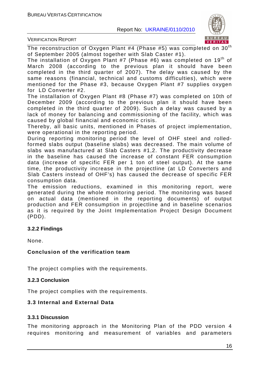

VERIFICATION REPORT

The reconstruction of Oxygen Plant #4 (Phase #5) was completed on  $30<sup>th</sup>$ of September 2005 (almost together with Slab Caster #1).

The installation of Oxygen Plant #7 (Phase #6) was completed on 19<sup>th</sup> of March 2008 (according to the previous plan it should have been completed in the third quarter of 2007). The delay was caused by the same reasons (financial, technical and customs difficulties), which were mentioned for the Phase #3, because Oxygen Plant #7 supplies oxygen for LD Converter #2.

The installation of Oxygen Plant #8 (Phase #7) was completed on 10th of December 2009 (according to the previous plan it should have been completed in the third quarter of 2009). Such a delay was caused by a lack of money for balancing and commissioning of the facility, which was caused by global financial and economic crisis.

Thereby, all basic units, mentioned in Phases of project implementation, were operational in the reporting period.

During reporting monitoring period the level of OHF steel and rolledformed slabs output (baseline slabs) was decreased. The main volume of slabs was manufactured at Slab Casters #1,2. The productivity decrease in the baseline has caused the increase of constant FER consumption data (increase of specific FER per 1 ton of steel output). At the same time, the productivity increase in the projectline (at LD Converters and Slab Casters instead of OHF's) has caused the decrease of specific FER consumption data.

The emission reductions, examined in this monitoring report, were generated during the whole monitoring period. The monitoring was based on actual data (mentioned in the reporting documents) of output production and FER consumption in projectline and in baseline scenarios as it is required by the Joint Implementation Project Design Document (PDD).

#### **3.2.2 Findings**

None.

#### **Conclusion of the verification team**

The project complies with the requirements.

#### **3.2.3 Conclusion**

The project complies with the requirements.

#### **3.3 Internal and External Data**

#### **3.3.1 Discussion**

The monitoring approach in the Monitoring Plan of the PDD version 4 requires monitoring and measurement of variables and parameters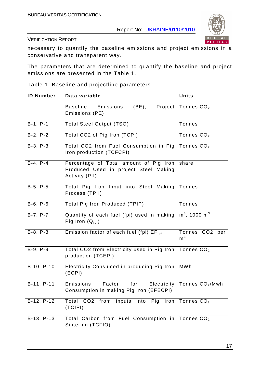

VERIFICATION REPORT

necessary to quantify the baseline emissions and project emissions in a conservative and transparent way.

The parameters that are determined to quantify the baseline and project emissions are presented in the Table 1.

Table 1. Baseline and projectline parameters

| <b>ID Number</b> | Data variable                                                                                     | <b>Units</b>                        |
|------------------|---------------------------------------------------------------------------------------------------|-------------------------------------|
|                  | Emissions<br>$(BE)$ ,<br><b>Baseline</b><br>Emissions (PE)                                        | Project   Tonnes $CO2$              |
| $B-1, P-1$       | <b>Total Steel Output (TSO)</b>                                                                   | <b>Tonnes</b>                       |
| $B-2, P-2$       | Total CO2 of Pig Iron (TCPI)                                                                      | Tonnes $CO2$                        |
| $B-3, P-3$       | Total CO2 from Fuel Consumption in Pig Tonnes $CO2$<br>Iron production (TCFCPI)                   |                                     |
| $B-4, P-4$       | Percentage of Total amount of Pig Iron<br>Produced Used in project Steel Making<br>Activity (PII) | share                               |
| $B-5, P-5$       | Total Pig Iron Input into Steel Making<br>Process (TPII)                                          | Tonnes                              |
| $B-6, P-6$       | <b>Total Pig Iron Produced (TPIP)</b>                                                             | Tonnes                              |
| $B-7, P-7$       | Quantity of each fuel (fpi) used in making<br>Pig Iron $(Q_{\text{foi}})$                         | $m^3$ , 1000 m <sup>3</sup>         |
| $B-8, P-8$       | Emission factor of each fuel (fpi) EF <sub>fpi</sub>                                              | Tonnes CO2<br>per<br>m <sup>3</sup> |
| B-9, P-9         | Total CO2 from Electricity used in Pig Iron   Tonnes $CO2$<br>production (TCEPI)                  |                                     |
| $B-10, P-10$     | Electricity Consumed in producing Pig Iron<br>(ECPI)                                              | <b>MWh</b>                          |
| B-11, P-11       | Emissions<br>Factor<br>for<br>Consumption in making Pig Iron (EFECPI)                             | Electricity   Tonnes $CO2/Mwh$      |
| B-12, P-12       | Total CO <sub>2</sub><br>from<br>inputs<br>into Pig<br>Iron<br>(TCIPI)                            | Tonnes $CO2$                        |
| B-13, P-13       | Total Carbon from Fuel Consumption in<br>Sintering (TCFIO)                                        | Tonnes $CO2$                        |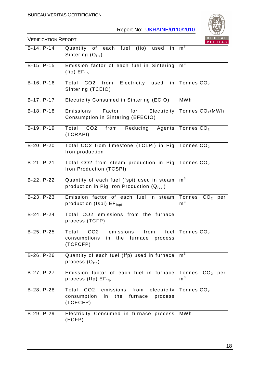

|              |                                                                                                             | <u>VENIIAS</u>                        |
|--------------|-------------------------------------------------------------------------------------------------------------|---------------------------------------|
| $B-14, P-14$ | (fio)<br>Quantity of each fuel<br>used<br>in.<br>Sintering (Q <sub>fio</sub> )                              | m <sup>3</sup>                        |
| B-15, P-15   | Emission factor of each fuel in Sintering<br>$(fio) EF_{fio}$                                               | m <sup>3</sup>                        |
| $B-16, P-16$ | CO2 from Electricity used<br>Total<br>Sintering (TCEIO)                                                     | in   Tonnes $CO2$                     |
| B-17, P-17   | Electricity Consumed in Sintering (ECIO)                                                                    | <b>MWh</b>                            |
| B-18, P-18   | Factor<br>Emissions<br>Electricity<br>for<br>Consumption in Sintering (EFECIO)                              | Tonnes $CO2/MWh$                      |
| B-19, P-19   | CO <sub>2</sub><br>Total<br>Reducing<br>Agents<br>from<br>(TCRAPI)                                          | Tonnes $CO2$                          |
| B-20, P-20   | Total CO2 from limestone (TCLPI) in Pig Tonnes $CO2$<br>Iron production                                     |                                       |
| B-21, P-21   | Total CO2 from steam production in Pig Tonnes $CO2$<br>Iron Production (TCSPI)                              |                                       |
| B-22, P-22   | Quantity of each fuel (fspi) used in steam<br>production in Pig Iron Production $(Q_{fspi})$                | m <sup>3</sup>                        |
| B-23, P-23   | Emission factor of each fuel in steam<br>production (fspi) EF <sub>fspi</sub>                               | Tonnes<br>$CO2$ per<br>m <sup>3</sup> |
| B-24, P-24   | Total CO2 emissions from the furnace<br>process (TCFP)                                                      |                                       |
| B-25, P-25   | emissions<br>Total<br>CO <sub>2</sub><br>from<br>consumptions in the furnace process<br>(TCFCFP)            | fuel   Tonnes $CO2$                   |
| B-26, P-26   | Quantity of each fuel (ffp) used in furnace<br>process $(Q_{ffp})$                                          | m <sup>3</sup>                        |
| B-27, P-27   | Emission factor of each fuel in furnace<br>process (ffp) $EF_{\text{ffp}}$                                  | Tonnes<br>$CO2$ per<br>m <sup>3</sup> |
| B-28, P-28   | Total CO2<br>electricity<br>emissions<br>from<br>consumption<br>in<br>the<br>furnace<br>process<br>(TCECFP) | Tonnes $CO2$                          |
| B-29, P-29   | Electricity Consumed in furnace process<br>(ECFP)                                                           | <b>MWh</b>                            |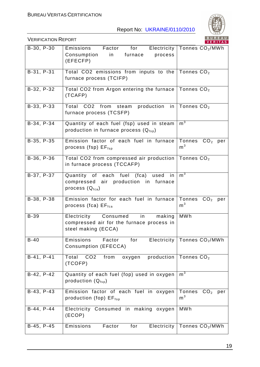

|              |                                                                                                           | <u>VERITAS</u>                        |
|--------------|-----------------------------------------------------------------------------------------------------------|---------------------------------------|
| B-30, P-30   | for<br>Factor<br>Emissions<br>Consumption<br>in<br>furnace<br>process<br>(EFECFP)                         | Electricity   Tonnes $CO2/MWh$        |
| B-31, P-31   | Total CO2 emissions from inputs to the Tonnes $CO2$<br>furnace process (TCIFP)                            |                                       |
| B-32, P-32   | Total CO2 from Argon entering the furnace Tonnes $CO2$<br>(TCAFP)                                         |                                       |
| B-33, P-33   | Total CO2 from steam<br>production<br>furnace process (TCSFP)                                             | in   Tonnes $CO2$                     |
| B-34, P-34   | Quantity of each fuel (fsp) used in steam<br>production in furnace process $(Q_{fsp})$                    | m <sup>3</sup>                        |
| $B-35, P-35$ | Emission factor of each fuel in furnace<br>process (fsp) $EF_{fsp}$                                       | Tonnes<br>$CO2$ per<br>m <sup>3</sup> |
| B-36, P-36   | Total CO2 from compressed air production<br>in furnace process (TCCAFP)                                   | Tonnes $CO2$                          |
| B-37, P-37   | Quantity of each fuel (fca) used in<br>compressed air production in furnace<br>process $(Q_{\text{fca}})$ | m <sup>3</sup>                        |
| B-38, P-38   | Emission factor for each fuel in furnace<br>process (fca) $EF_{\text{fca}}$                               | Tonnes $CO2$ per<br>m <sup>3</sup>    |
| <b>B-39</b>  | Electricity Consumed<br>making<br>in<br>compressed air for the furnace process in<br>steel making (ECCA)  | <b>MWh</b>                            |
| $B-40$       | Emissions<br>Factor<br>for<br>Consumption (EFECCA)                                                        | Electricity   Tonnes $CO2/MWh$        |
| B-41, P-41   | Total CO2<br>production<br>from<br>oxygen<br>(TCOFP)                                                      | Tonnes $CO2$                          |
| B-42, P-42   | Quantity of each fuel (fop) used in oxygen<br>production $(Q_{\text{fsp}})$                               | m <sup>3</sup>                        |
| B-43, P-43   | Emission factor of each fuel in oxygen<br>production (fop) $EF_{\text{top}}$                              | Tonnes $CO2$<br>per<br>m <sup>3</sup> |
| B-44, P-44   | Electricity Consumed in making oxygen<br>(ECOP)                                                           | <b>MWh</b>                            |
| B-45, P-45   | Electricity<br>Emissions<br>Factor<br>for                                                                 | Tonnes CO <sub>2</sub> /MWh           |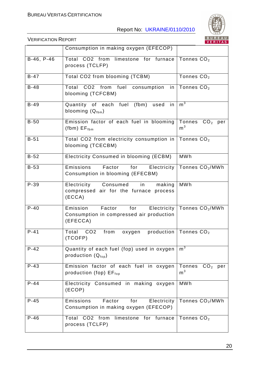

|            |                                                                                               | <b>VERITAS</b>                     |
|------------|-----------------------------------------------------------------------------------------------|------------------------------------|
|            | Consumption in making oxygen (EFECOP)                                                         |                                    |
| B-46, P-46 | Total CO2 from limestone for furnace<br>process (TCLFP)                                       | Tonnes $CO2$                       |
| $B-47$     | Total CO2 from blooming (TCBM)                                                                | Tonnes $CO2$                       |
| $B-48$     | Total CO2 from fuel<br>consumption<br>in<br>blooming (TCFCBM)                                 | Tonnes $CO2$                       |
| $B-49$     | Quantity of each fuel<br>(fbm)<br>used<br>in<br>blooming $(Q_{fbm})$                          | $m^3$                              |
| $B-50$     | Emission factor of each fuel in blooming<br>$(fbm)$ $EF_{fbm}$                                | Tonnes $CO2$ per<br>m <sup>3</sup> |
| $B-51$     | Total CO2 from electricity consumption in<br>blooming (TCECBM)                                | Tonnes $CO2$                       |
| $B-52$     | Electricity Consumed in blooming (ECBM)                                                       | <b>MWh</b>                         |
| $B-53$     | Emissions<br>Factor<br>Electricity<br>for<br>Consumption in blooming (EFECBM)                 | Tonnes CO <sub>2</sub> /MWh        |
| $P-39$     | Electricity<br>Consumed<br>making<br>in<br>compressed air for the furnace process<br>(ECCA)   | <b>MWh</b>                         |
| $P-40$     | Emission<br>Factor<br>for Electricity<br>Consumption in compressed air production<br>(EFECCA) | Tonnes $CO2/MWh$                   |
| $P-41$     | Total CO2<br>from<br>production<br>oxygen<br>(TCOFP)                                          | Tonnes CO <sub>2</sub>             |
| $P-42$     | Quantity of each fuel (fop) used in oxygen<br>production $(Q_{\text{fop}})$                   | m <sup>3</sup>                     |
| $P-43$     | Emission factor of each fuel in oxygen<br>production (fop) $EF_{\text{fop}}$                  | Tonnes $CO2$ per<br>m <sup>3</sup> |
| $P-44$     | Electricity Consumed in making oxygen<br>(ECOP)                                               | <b>MWh</b>                         |
| $P-45$     | Factor<br>Emissions<br>for<br>Electricity<br>Consumption in making oxygen (EFECOP)            | Tonnes CO <sub>2</sub> /MWh        |
| $P-46$     | Total CO2 from<br>limestone for furnace<br>process (TCLFP)                                    | Tonnes CO <sub>2</sub>             |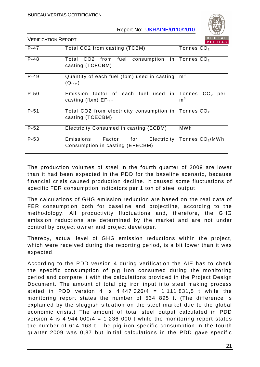

VERIFICATION REPORT

|          |                                                                           | .                                            |
|----------|---------------------------------------------------------------------------|----------------------------------------------|
| $P - 47$ | Total CO2 from casting (TCBM)                                             | Tonnes $CO2$                                 |
| $P - 48$ | in<br>CO2 from<br>fuel<br>consumption<br>Total<br>casting (TCFCBM)        | Tonnes $CO2$                                 |
| $P-49$   | Quantity of each fuel (fbm) used in casting<br>$(Q_{fbm})$                | m <sup>3</sup>                               |
| $P-50$   | Emission factor of each fuel used<br>in<br>casting (fbm) $EF_{fbm}$       | Tonnes CO <sub>2</sub> per<br>m <sup>3</sup> |
| $P-51$   | Total CO2 from electricity consumption in<br>casting (TCECBM)             | Tonnes $CO2$                                 |
| $P - 52$ | Electricity Consumed in casting (ECBM)                                    | <b>MWh</b>                                   |
| $P - 53$ | Emissions<br>Factor for<br>Electricity<br>Consumption in casting (EFECBM) | Tonnes CO <sub>2</sub> /MWh                  |

The production volumes of steel in the fourth quarter of 2009 are lower than it had been expected in the PDD for the baseline scenario, because financial crisis caused production decline. It caused some fluctuations of specific FER consumption indicators per 1 ton of steel output.

The calculations of GHG emission reduction are based on the real data of FER consumption both for baseline and projectline, according to the methodology. All productivity fluctuations and, therefore, the GHG emission reductions are determined by the market and are not under control by project owner and project developer**.** 

Thereby, actual level of GHG emission reductions within the project, which were received during the reporting period, is a bit lower than it was expected.

According to the PDD version 4 during verification the AIE has to check the specific consumption of pig iron consumed during the monitoring period and compare it with the calculations provided in the Project Design Document. The amount of total pig iron input into steel making process stated in PDD version 4 is  $4\,447\,326/4 = 1\,111\,831.5$  t while the monitoring report states the number of 534 895 t. (The difference is explained by the sluggish situation on the steel market due to the global economic crisis.) The amount of total steel output calculated in PDD version 4 is 4 944 000/4 = 1 236 000 t while the monitoring report states the number of 614 163 t. The pig iron specific consumption in the fourth quarter 2009 was 0,87 but initial calculations in the PDD gave specific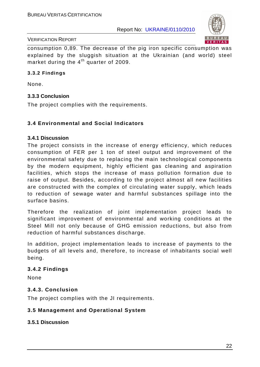

#### VERIFICATION REPORT

consumption 0,89. The decrease of the pig iron specific consumption was explained by the sluggish situation at the Ukrainian (and world) steel market during the  $4<sup>th</sup>$  quarter of 2009.

#### **3.3.2 Findings**

None.

#### **3.3.3 Conclusion**

The project complies with the requirements.

### **3.4 Environmental and Social Indicators**

#### **3.4.1 Discussion**

The project consists in the increase of energy efficiency, which reduces consumption of FER per 1 ton of steel output and improvement of the environmental safety due to replacing the main technological components by the modern equipment, highly efficient gas cleaning and aspiration facilities, which stops the increase of mass pollution formation due to raise of output. Besides, according to the project almost all new facilities are constructed with the complex of circulating water supply, which leads to reduction of sewage water and harmful substances spillage into the surface basins.

Therefore the realization of joint implementation project leads to significant improvement of environmental and working conditions at the Steel Mill not only because of GHG emission reductions, but also from reduction of harmful substances discharge.

In addition, project implementation leads to increase of payments to the budgets of all levels and, therefore, to increase of inhabitants social well being.

#### **3.4.2 Findings**

None

#### **3.4.3. Conclusion**

The project complies with the JI requirements.

### **3.5 Management and Operational System**

#### **3.5.1 Discussion**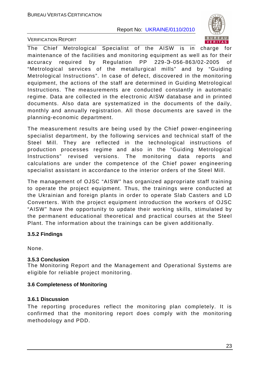

VERIFICATION REPORT

The Chief Metrological Specialist of the AISW is in charge for maintenance of the facilities and monitoring equipment as well as for their accuracy required by Regulation PP 229-Э-056-863/02-2005 of "Metrological services of the metallurgical mills" and by "Guiding Metrological Instructions". In case of defect, discovered in the monitoring equipment, the actions of the staff are determined in Guiding Metrological Instructions. The measurements are conducted constantly in automatic regime. Data are collected in the electronic AISW database and in printed documents. Also data are systematized in the documents of the daily, monthly and annually registration. All those documents are saved in the planning-economic department.

The measurement results are being used by the Chief power-engineering specialist department, by the following services and technical staff of the Steel Mill. They are reflected in the technological instructions of production processes regime and also in the "Guiding Metrological Instructions" revised versions. The monitoring data reports and calculations are under the competence of the Chief power engineering specialist assistant in accordance to the interior orders of the Steel Mill.

The management of OJSC "AISW" has organized appropriate staff training to operate the project equipment. Thus, the trainings were conducted at the Ukrainian and foreign plants in order to operate Slab Casters and LD Converters. With the project equipment introduction the workers of OJSC "AISW" have the opportunity to update their working skills, stimulated by the permanent educational theoretical and practical courses at the Steel Plant. The information about the trainings can be given additionally.

### **3.5.2 Findings**

None.

### **3.5.3 Conclusion**

The Monitoring Report and the Management and Operational Systems are eligible for reliable project monitoring.

### **3.6 Completeness of Monitoring**

### **3.6.1 Discussion**

The reporting procedures reflect the monitoring plan completely. It is confirmed that the monitoring report does comply with the monitoring methodology and PDD.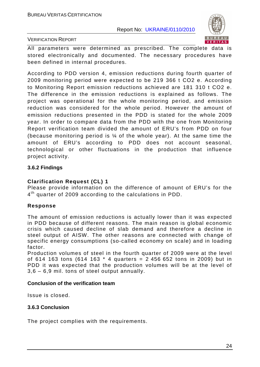

#### VERIFICATION REPORT

All parameters were determined as prescribed. The complete data is stored electronically and documented. The necessary procedures have been defined in internal procedures.

According to PDD version 4, emission reductions during fourth quarter of 2009 monitoring period were expected to be 219 366 t CO2 e. According to Monitoring Report emission reductions achieved are 181 310 t CO2 e. The difference in the emission reductions is explained as follows. The project was operational for the whole monitoring period, and emission reduction was considered for the whole period. However the amount of emission reductions presented in the PDD is stated for the whole 2009 year. In order to compare data from the PDD with the one from Monitoring Report verification team divided the amount of ERU's from PDD on four (because monitoring period is  $\frac{1}{4}$  of the whole year). At the same time the amount of ERU's according to PDD does not account seasonal, technological or other fluctuations in the production that influence project activity.

#### **3.6.2 Findings**

#### **Clarification Request (CL) 1**

Please provide information on the difference of amount of ERU's for the 4<sup>th</sup> quarter of 2009 according to the calculations in PDD.

#### **Response**

The amount of emission reductions is actually lower than it was expected in PDD because of different reasons. The main reason is global economic crisis which caused decline of slab demand and therefore a decline in steel output of AISW. The other reasons are connected with change of specific energy consumptions (so-called economy on scale) and in loading factor.

Production volumes of steel in the fourth quarter of 2009 were at the level of 614 163 tons (614 163 \* 4 quarters = 2 456 652 tons in 2009) but in PDD it was expected that the production volumes will be at the level of 3,6 – 6,9 mil. tons of steel output annually.

#### **Conclusion of the verification team**

Issue is closed.

#### **3.6.3 Conclusion**

The project complies with the requirements.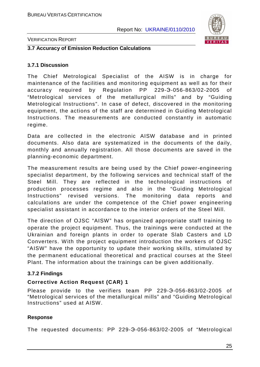

#### VERIFICATION REPORT

#### **3.7 Accuracy of Emission Reduction Calculations**

#### **3.7.1 Discussion**

The Chief Metrological Specialist of the AISW is in charge for maintenance of the facilities and monitoring equipment as well as for their accuracy required by Regulation PP 229-Э-056-863/02-2005 of "Metrological services of the metallurgical mills" and by "Guiding Metrological Instructions". In case of defect, discovered in the monitoring equipment, the actions of the staff are determined in Guiding Metrological Instructions. The measurements are conducted constantly in automatic regime.

Data are collected in the electronic AISW database and in printed documents. Also data are systematized in the documents of the daily, monthly and annually registration. All those documents are saved in the planning-economic department.

The measurement results are being used by the Chief power-engineering specialist department, by the following services and technical staff of the Steel Mill. They are reflected in the technological instructions of production processes regime and also in the "Guiding Metrological Instructions" revised versions. The monitoring data reports and calculations are under the competence of the Chief power engineering specialist assistant in accordance to the interior orders of the Steel Mill.

The direction of OJSC "AISW" has organized appropriate staff training to operate the project equipment. Thus, the trainings were conducted at the Ukrainian and foreign plants in order to operate Slab Casters and LD Converters. With the project equipment introduction the workers of OJSC "AISW" have the opportunity to update their working skills, stimulated by the permanent educational theoretical and practical courses at the Steel Plant. The information about the trainings can be given additionally.

#### **3.7.2 Findings**

#### **Corrective Action Request (CAR) 1**

Please provide to the verifiers team PP 229-Э-056-863/02-2005 of "Metrological services of the metallurgical mills" and "Guiding Metrological Instructions" used at AISW.

#### **Response**

The requested documents: PP 229-Э-056-863/02-2005 of "Metrological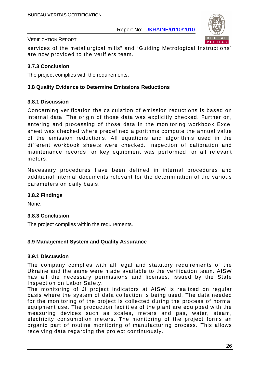

#### VERIFICATION REPORT

services of the metallurgical mills" and "Guiding Metrological Instructions" are now provided to the verifiers team.

#### **3.7.3 Conclusion**

The project complies with the requirements.

#### **3.8 Quality Evidence to Determine Emissions Reductions**

#### **3.8.1 Discussion**

Concerning verification the calculation of emission reductions is based on internal data. The origin of those data was explicitly checked. Further on, entering and processing of those data in the monitoring workbook Excel sheet was checked where predefined algorithms compute the annual value of the emission reductions. All equations and algorithms used in the different workbook sheets were checked. Inspection of calibration and maintenance records for key equipment was performed for all relevant meters.

Necessary procedures have been defined in internal procedures and additional internal documents relevant for the determination of the various parameters on daily basis.

#### **3.8.2 Findings**

None.

#### **3.8.3 Conclusion**

The project complies within the requirements.

#### **3.9 Management System and Quality Assurance**

#### **3.9.1 Discussion**

The company complies with all legal and statutory requirements of the Ukraine and the same were made available to the verification team. AISW has all the necessary permissions and licenses, issued by the State Inspection on Labor Safety.

The monitoring of JI project indicators at AISW is realized on regular basis where the system of data collection is being used. The data needed for the monitoring of the project is collected during the process of normal equipment use. The production facilities of the plant are equipped with the measuring devices such as scales, meters and gas, water, steam, electricity consumption meters. The monitoring of the project forms an organic part of routine monitoring of manufacturing process. This allows receiving data regarding the project continuously.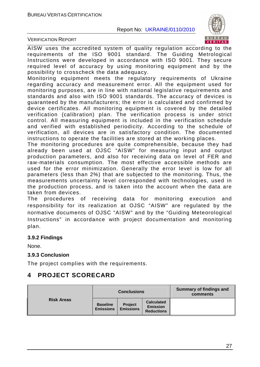

VERIFICATION REPORT

AISW uses the accredited system of quality regulation according to the requirements of the ISO 9001 standard. The Guiding Metrological Instructions were developed in accordance with ISO 9001. They secure required level of accuracy by using monitoring equipment and by the possibility to crosscheck the data adequacy.

Monitoring equipment meets the regulatory requirements of Ukraine regarding accuracy and measurement error. All the equipment used for monitoring purposes, are in line with national legislative requirements and standards and also with ISO 9001 standards. The accuracy of devices is guaranteed by the manufacturers; the error is calculated and confirmed by device certificates. All monitoring equipment is covered by the detailed verification (calibration) plan. The verification process is under strict control. All measuring equipment is included in the verification schedule and verified with established periodicity. According to the schedule of verification, all devices are in satisfactory condition. The documented instructions to operate the facilities are stored at the working places.

The monitoring procedures are quite comprehensible, because they had already been used at OJSC "AISW" for measuring input and output production parameters, and also for receiving data on level of FER and raw-materials consumption. The most effective accessible methods are used for the error minimization. Generally the error level is low for all parameters (less than 2%) that are subjected to the monitoring. Thus, the measurements uncertainty level corresponded with technologies, used in the production process, and is taken into the account when the data are taken from devices.

The procedures of receiving data for monitoring execution and responsibility for its realization at OJSC "AISW" are regulated by the normative documents of OJSC "AISW" and by the "Guiding Meteorological Instructions" in accordance with project documentation and monitoring plan.

#### **3.9.2 Findings**

None.

#### **3.9.3 Conclusion**

The project complies with the requirements.

# **4 PROJECT SCORECARD**

|                   | <b>Conclusions</b>                  |                                    |                                                           | Summary of findings and<br>comments |
|-------------------|-------------------------------------|------------------------------------|-----------------------------------------------------------|-------------------------------------|
| <b>Risk Areas</b> | <b>Baseline</b><br><b>Emissions</b> | <b>Project</b><br><b>Emissions</b> | <b>Calculated</b><br><b>Emission</b><br><b>Reductions</b> |                                     |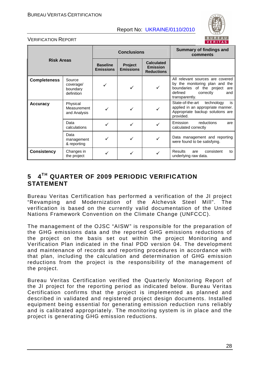

#### VERIFICATION REPORT

| <b>Risk Areas</b>   |                                               | <b>Conclusions</b>                  |                             |                                                           | Summary of findings and<br>comments                                                                                                                     |
|---------------------|-----------------------------------------------|-------------------------------------|-----------------------------|-----------------------------------------------------------|---------------------------------------------------------------------------------------------------------------------------------------------------------|
|                     |                                               | <b>Baseline</b><br><b>Emissions</b> | Project<br><b>Emissions</b> | <b>Calculated</b><br><b>Emission</b><br><b>Reductions</b> |                                                                                                                                                         |
| <b>Completeness</b> | Source<br>coverage/<br>boundary<br>definition |                                     |                             |                                                           | All relevant sources are covered<br>by the monitoring plan and the<br>boundaries of the project<br>are<br>defined<br>correctly<br>and<br>transparently. |
| <b>Accuracy</b>     | Physical<br>Measurement<br>and Analysis       |                                     |                             |                                                           | State-of-the-art<br>technology<br>is<br>applied in an appropriate manner.<br>Appropriate backup solutions are<br>provided.                              |
|                     | Data<br>calculations                          |                                     |                             |                                                           | Emission<br>reductions<br>are<br>calculated correctly                                                                                                   |
|                     | Data<br>management<br>& reporting             |                                     |                             |                                                           | Data management and reporting<br>were found to be satisfying.                                                                                           |
| <b>Consistency</b>  | Changes in<br>the project                     |                                     |                             |                                                           | <b>Results</b><br>consistent<br>are<br>to<br>underlying raw data.                                                                                       |

# **5 4TH QUARTER OF 2009 PERIODIC VERIFICATION STATEMENT**

Bureau Veritas Certification has performed a verification of the JI project "Revamping and Modernization of the Alchevsk Steel Mill". The verification is based on the currently valid documentation of the United Nations Framework Convention on the Climate Change (UNFCCC).

The management of the OJSC "AISW" is responsible for the preparation of the GHG emissions data and the reported GHG emissions reductions of the project on the basis set out within the project Monitoring and Verification Plan indicated in the final PDD version 04. The development and maintenance of records and reporting procedures in accordance with that plan, including the calculation and determination of GHG emission reductions from the project is the responsibility of the management of the project.

Bureau Veritas Certification verified the Quarterly Monitoring Report of the JI project for the reporting period as indicated below. Bureau Veritas Certification confirms that the project is implemented as planned and described in validated and registered project design documents. Installed equipment being essential for generating emission reduction runs reliably and is calibrated appropriately. The monitoring system is in place and the project is generating GHG emission reductions.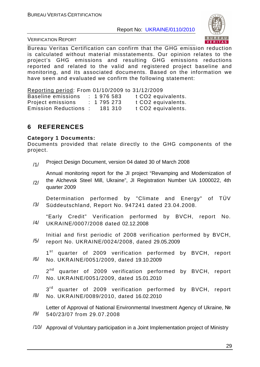

VERIFICATION REPORT

Bureau Veritas Certification can confirm that the GHG emission reduction is calculated without material misstatements. Our opinion relates to the project's GHG emissions and resulting GHG emissions reductions reported and related to the valid and registered project baseline and monitoring, and its associated documents. Based on the information we have seen and evaluated we confirm the following statement:

Reporting period: From 01/10/2009 to 31/12/2009 Baseline emissions : 1976 583 t CO2 equivalents. Project emissions : 1 795 273 t CO2 equivalents. Emission Reductions : 181 310 t CO2 equivalents.

# **6 REFERENCES**

#### **Category 1 Documents:**

quarter 2009

Documents provided that relate directly to the GHG components of the project.

/1/ Project Design Document, version 04 dated 30 of March 2008

/2/ Annual monitoring report for the JI project "Revamping and Modernization of the Alchevsk Steel Mill, Ukraine", JI Registration Number UA 1000022, 4th

- /3/ Determination performed by "Climate and Energy" of TÜV Süddeutschland, Report No. 947241 dated 23.04.2008.
- /4/ "Early Credit" Verification performed by BVCH, report No. UKRAINE/0007/2008 dated 02.12.2008

/5/ Initial and first periodic of 2008 verification performed by BVCH, report No. UKRAINE/0024/2008, dated 29.05.2009

/6/ 1<sup>st</sup> quarter of 2009 verification performed by BVCH, report No. UKRAINE/0051/2009, dated 19.10.2009

/7/ 2<sup>nd</sup> quarter of 2009 verification performed by BVCH, report No. UKRAINE/0051/2009, dated 15.01.2010

/8/ 3<sup>rd</sup> quarter of 2009 verification performed by BVCH, report No. UKRAINE/0089/2010, dated 16.02.2010

/9/ Letter of Approval of National Environmental Investment Agency of Ukraine, Nº 540/23/07 from 29.07.2008

/10/ Approval of Voluntary participation in a Joint Implementation project of Ministry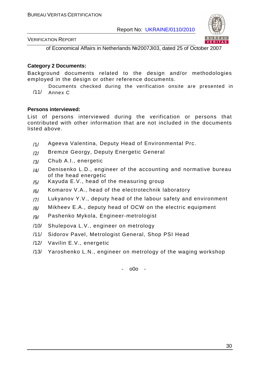

VERIFICATION REPORT

of Economical Affairs in Netherlands №2007JI03, dated 25 of October 2007

#### **Category 2 Documents:**

Background documents related to the design and/or methodologies employed in the design or other reference documents.

/11/ Documents checked during the verification onsite are presented in Annex C

#### **Persons interviewed:**

List of persons interviewed during the verification or persons that contributed with other information that are not included in the documents listed above.

- /1/ Ageeva Valentina, Deputy Head of Environmental Prc.
- /2/ Bremze Georgy, Deputy Energetic General
- /3/ Chub A.I., energetic
- $/4$  Denisenko L.D., engineer of the accounting and normative bureau of the head energetic
- $/5/$  Kayuda E.V., head of the measuring group
- $/6/$  Komarov V.A., head of the electrotechnik laboratory
- $/7/$  Lukyanov Y.V., deputy head of the labour safety and environment
- $/8/$  Mikheev E.A., deputy head of OCW on the electric equipment
- /9/ Pashenko Mykola, Engineer-metrologist
- /10/ Shulepova L.V., engineer on metrology
- /11/ Sidorov Pavel, Metrologist General, Shop PSI Head
- /12/ Vavilin E.V., energetic
- /13/ Yaroshenko L.N., engineer on metrology of the waging workshop

- o0o -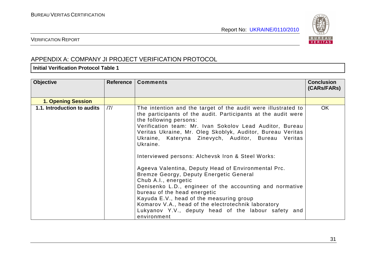

### VERIFICATION REPORT

# APPENDIX A: COMPANY JI PROJECT VERIFICATION PROTOCOL

#### **Initial Verification Protocol Table 1**

| <b>Objective</b>            | Reference | <b>Comments</b>                                                                                                                                                                                                                                                                                                                                                                                                                                                                                                                                                                                                                                                                                                                                                                                           | <b>Conclusion</b><br>(CARs/FARs) |
|-----------------------------|-----------|-----------------------------------------------------------------------------------------------------------------------------------------------------------------------------------------------------------------------------------------------------------------------------------------------------------------------------------------------------------------------------------------------------------------------------------------------------------------------------------------------------------------------------------------------------------------------------------------------------------------------------------------------------------------------------------------------------------------------------------------------------------------------------------------------------------|----------------------------------|
| <b>1. Opening Session</b>   |           |                                                                                                                                                                                                                                                                                                                                                                                                                                                                                                                                                                                                                                                                                                                                                                                                           |                                  |
| 1.1. Introduction to audits | 7         | The intention and the target of the audit were illustrated to<br>the participants of the audit. Participants at the audit were<br>the following persons:<br>Verification team: Mr. Ivan Sokolov Lead Auditor, Bureau<br>Veritas Ukraine, Mr. Oleg Skoblyk, Auditor, Bureau Veritas<br>Ukraine, Kateryna Zinevych, Auditor, Bureau Veritas<br>Ukraine.<br>Interviewed persons: Alchevsk Iron & Steel Works:<br>Ageeva Valentina, Deputy Head of Environmental Prc.<br>Bremze Georgy, Deputy Energetic General<br>Chub A.I., energetic<br>Denisenko L.D., engineer of the accounting and normative<br>bureau of the head energetic<br>Kayuda E.V., head of the measuring group<br>Komarov V.A., head of the electrotechnik laboratory<br>Lukyanov Y.V., deputy head of the labour safety and<br>environment | <b>OK</b>                        |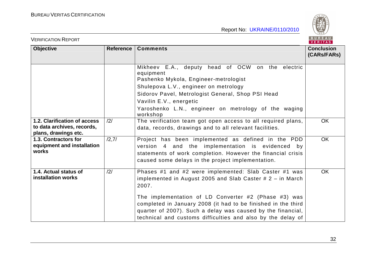VERIFICATION REPORT

BUREAU<br>VERITAS

| Report No: UKRAINE/0110/2010 |  |
|------------------------------|--|
|                              |  |
|                              |  |

| <b>Objective</b>                                                                   | <b>Reference</b> | <b>Comments</b>                                                                                                                                                                                                                                                                                                                                                                      | <b>Conclusion</b><br>(CARs/FARs) |
|------------------------------------------------------------------------------------|------------------|--------------------------------------------------------------------------------------------------------------------------------------------------------------------------------------------------------------------------------------------------------------------------------------------------------------------------------------------------------------------------------------|----------------------------------|
|                                                                                    |                  | Mikheev E.A., deputy head of OCW on the electric<br>equipment<br>Pashenko Mykola, Engineer-metrologist<br>Shulepova L.V., engineer on metrology<br>Sidorov Pavel, Metrologist General, Shop PSI Head<br>Vavilin E.V., energetic<br>Yaroshenko L.N., engineer on metrology of the waging<br>workshop                                                                                  |                                  |
| 1.2. Clarification of access<br>to data archives, records,<br>plans, drawings etc. | /2/              | The verification team got open access to all required plans,<br>data, records, drawings and to all relevant facilities.                                                                                                                                                                                                                                                              | <b>OK</b>                        |
| 1.3. Contractors for<br>equipment and installation<br>works                        | /2,7/            | Project has been implemented as defined in the PDD<br>version 4 and the implementation is evidenced by<br>statements of work completion. However the financial crisis<br>caused some delays in the project implementation.                                                                                                                                                           | <b>OK</b>                        |
| 1.4. Actual status of<br>installation works                                        | /2/              | Phases #1 and #2 were implemented: Slab Caster #1 was<br>implemented in August 2005 and Slab Caster $# 2 - in March$<br>2007.<br>The implementation of LD Converter #2 (Phase #3) was<br>completed in January 2008 (it had to be finished in the third<br>quarter of 2007). Such a delay was caused by the financial,<br>technical and customs difficulties and also by the delay of | <b>OK</b>                        |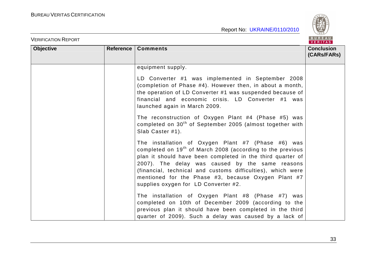

| <b>VERIFICATION REPORT</b> |           |                                                                                                                                                                                                                                                                                                                                                                                                             | BUREAU<br><b>VERITAS</b>         |
|----------------------------|-----------|-------------------------------------------------------------------------------------------------------------------------------------------------------------------------------------------------------------------------------------------------------------------------------------------------------------------------------------------------------------------------------------------------------------|----------------------------------|
| <b>Objective</b>           | Reference | <b>Comments</b>                                                                                                                                                                                                                                                                                                                                                                                             | <b>Conclusion</b><br>(CARs/FARs) |
|                            |           | equipment supply.<br>LD Converter #1 was implemented in September 2008<br>(completion of Phase #4). However then, in about a month,                                                                                                                                                                                                                                                                         |                                  |
|                            |           | the operation of LD Converter #1 was suspended because of<br>financial and economic crisis. LD Converter #1 was<br>launched again in March 2009.                                                                                                                                                                                                                                                            |                                  |
|                            |           | The reconstruction of Oxygen Plant #4 (Phase #5) was<br>completed on 30 <sup>th</sup> of September 2005 (almost together with<br>Slab Caster #1).                                                                                                                                                                                                                                                           |                                  |
|                            |           | The installation of Oxygen Plant #7 (Phase #6) was<br>completed on 19 <sup>th</sup> of March 2008 (according to the previous<br>plan it should have been completed in the third quarter of<br>2007). The delay was caused by the same reasons<br>(financial, technical and customs difficulties), which were<br>mentioned for the Phase #3, because Oxygen Plant #7<br>supplies oxygen for LD Converter #2. |                                  |
|                            |           | The installation of Oxygen Plant #8 (Phase #7) was<br>completed on 10th of December 2009 (according to the<br>previous plan it should have been completed in the third<br>quarter of 2009). Such a delay was caused by a lack of                                                                                                                                                                            |                                  |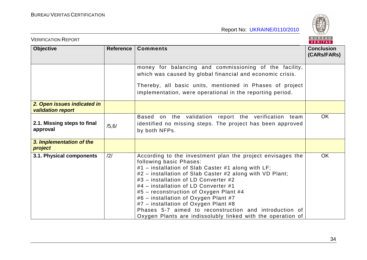

| <b>VERIFICATION REPORT</b>                              |           |                                                                                                                                                                                                                                                                                                                                                                                                                                                                                                                                            | BUREAU<br><b>VERITAS</b>         |
|---------------------------------------------------------|-----------|--------------------------------------------------------------------------------------------------------------------------------------------------------------------------------------------------------------------------------------------------------------------------------------------------------------------------------------------------------------------------------------------------------------------------------------------------------------------------------------------------------------------------------------------|----------------------------------|
| <b>Objective</b>                                        | Reference | <b>Comments</b>                                                                                                                                                                                                                                                                                                                                                                                                                                                                                                                            | <b>Conclusion</b><br>(CARs/FARs) |
|                                                         |           | money for balancing and commissioning of the facility,<br>which was caused by global financial and economic crisis.<br>Thereby, all basic units, mentioned in Phases of project<br>implementation, were operational in the reporting period.                                                                                                                                                                                                                                                                                               |                                  |
| 2. Open issues indicated in<br><b>validation report</b> |           |                                                                                                                                                                                                                                                                                                                                                                                                                                                                                                                                            |                                  |
| 2.1. Missing steps to final<br>approval                 | /5, 6/    | Based on the validation report the verification team<br>identified no missing steps. The project has been approved<br>by both NFPs.                                                                                                                                                                                                                                                                                                                                                                                                        | <b>OK</b>                        |
| 3. Implementation of the<br>project                     |           |                                                                                                                                                                                                                                                                                                                                                                                                                                                                                                                                            |                                  |
| 3.1. Physical components                                | /2/       | According to the investment plan the project envisages the<br>following basic Phases:<br>#1 - installation of Slab Caster #1 along with LF;<br>#2 – installation of Slab Caster #2 along with VD Plant;<br>#3 - installation of LD Converter #2<br>#4 – installation of LD Converter #1<br>#5 - reconstruction of Oxygen Plant #4<br>#6 - installation of Oxygen Plant #7<br>#7 - installation of Oxygen Plant #8<br>Phases 5-7 aimed to reconstruction and introduction of<br>Oxygen Plants are indissolubly linked with the operation of | <b>OK</b>                        |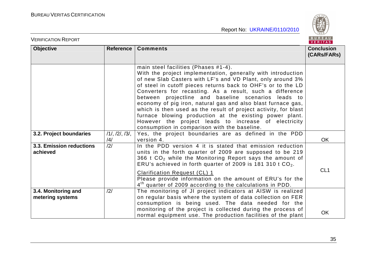

| <b>VERIFICATION REPORT</b>              |                                |                                                                                                                                                                                                                                                                                                                                                                                                                                                                                                                                                                                                                                                             | BUREAU<br>VERITAS                |
|-----------------------------------------|--------------------------------|-------------------------------------------------------------------------------------------------------------------------------------------------------------------------------------------------------------------------------------------------------------------------------------------------------------------------------------------------------------------------------------------------------------------------------------------------------------------------------------------------------------------------------------------------------------------------------------------------------------------------------------------------------------|----------------------------------|
| <b>Objective</b>                        | Reference                      | <b>Comments</b>                                                                                                                                                                                                                                                                                                                                                                                                                                                                                                                                                                                                                                             | <b>Conclusion</b><br>(CARs/FARs) |
|                                         |                                | main steel facilities (Phases #1-4).<br>With the project implementation, generally with introduction<br>of new Slab Casters with LF's and VD Plant, only around 3%<br>of steel in cutoff pieces returns back to OHF's or to the LD<br>Converters for recasting. As a result, such a difference<br>between projectline and baseline scenarios leads to<br>economy of pig iron, natural gas and also blast furnace gas,<br>which is then used as the result of project activity, for blast<br>furnace blowing production at the existing power plant.<br>However the project leads to increase of electricity<br>consumption in comparison with the baseline. |                                  |
| 3.2. Project boundaries                 | $/1/$ , $/2/$ , $/3/$ ,<br>/4/ | Yes, the project boundaries are as defined in the PDD<br>version 4.                                                                                                                                                                                                                                                                                                                                                                                                                                                                                                                                                                                         | <b>OK</b>                        |
| 3.3. Emission reductions<br>achieved    | /2/                            | In the PDD version 4 it is stated that emission reduction<br>units in the forth quarter of 2009 are supposed to be 219<br>366 t $CO2$ while the Monitoring Report says the amount of<br>ERU's achieved in forth quarter of 2009 is 181 310 t CO <sub>2</sub> .<br><b>Clarification Request (CL) 1</b><br>Please provide information on the amount of ERU's for the                                                                                                                                                                                                                                                                                          | CL <sub>1</sub>                  |
|                                         |                                | 4 <sup>th</sup> quarter of 2009 according to the calculations in PDD.                                                                                                                                                                                                                                                                                                                                                                                                                                                                                                                                                                                       |                                  |
| 3.4. Monitoring and<br>metering systems | /2/                            | The monitoring of JI project indicators at AISW is realized<br>on regular basis where the system of data collection on FER<br>consumption is being used. The data needed for the<br>monitoring of the project is collected during the process of<br>normal equipment use. The production facilities of the plant                                                                                                                                                                                                                                                                                                                                            | OK                               |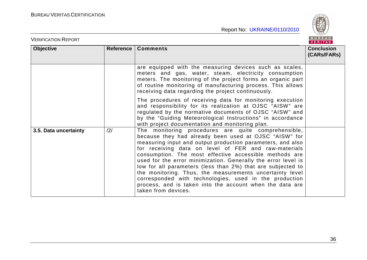

|                       |     |                                                                                                                                                                                                                                                                                                                                                                                                                                                                                                                                                                                                                                       | VERITAS                          |
|-----------------------|-----|---------------------------------------------------------------------------------------------------------------------------------------------------------------------------------------------------------------------------------------------------------------------------------------------------------------------------------------------------------------------------------------------------------------------------------------------------------------------------------------------------------------------------------------------------------------------------------------------------------------------------------------|----------------------------------|
| <b>Objective</b>      |     | Reference   Comments                                                                                                                                                                                                                                                                                                                                                                                                                                                                                                                                                                                                                  | <b>Conclusion</b><br>(CARs/FARs) |
|                       |     | are equipped with the measuring devices such as scales,<br>meters and gas, water, steam, electricity consumption<br>meters. The monitoring of the project forms an organic part<br>of routine monitoring of manufacturing process. This allows<br>receiving data regarding the project continuously.                                                                                                                                                                                                                                                                                                                                  |                                  |
|                       |     | The procedures of receiving data for monitoring execution<br>and responsibility for its realization at OJSC "AISW" are<br>regulated by the normative documents of OJSC "AISW" and<br>by the "Guiding Meteorological Instructions" in accordance<br>with project documentation and monitoring plan.                                                                                                                                                                                                                                                                                                                                    |                                  |
| 3.5. Data uncertainty | /2/ | The monitoring procedures are quite comprehensible,<br>because they had already been used at OJSC "AISW" for<br>measuring input and output production parameters, and also<br>for receiving data on level of FER and raw-materials<br>consumption. The most effective accessible methods are<br>used for the error minimization. Generally the error level is<br>low for all parameters (less than 2%) that are subjected to<br>the monitoring. Thus, the measurements uncertainty level<br>corresponded with technologies, used in the production<br>process, and is taken into the account when the data are<br>taken from devices. |                                  |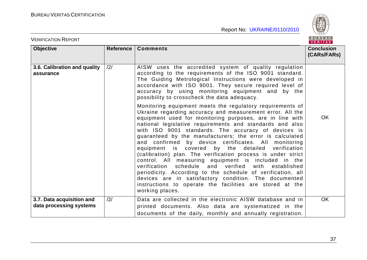

| <b>VERIFICATION REPORT</b>                           |                |                                                                                                                                                                                                                                                                                                                                                                                                                                                                                                                                                                                                                                                                                                                                                                                                                                                                        | BUREAU<br><b>VERITAS</b>         |
|------------------------------------------------------|----------------|------------------------------------------------------------------------------------------------------------------------------------------------------------------------------------------------------------------------------------------------------------------------------------------------------------------------------------------------------------------------------------------------------------------------------------------------------------------------------------------------------------------------------------------------------------------------------------------------------------------------------------------------------------------------------------------------------------------------------------------------------------------------------------------------------------------------------------------------------------------------|----------------------------------|
| <b>Objective</b>                                     | Reference      | <b>Comments</b>                                                                                                                                                                                                                                                                                                                                                                                                                                                                                                                                                                                                                                                                                                                                                                                                                                                        | <b>Conclusion</b><br>(CARs/FARs) |
| 3.6. Calibration and quality<br>assurance            | $\frac{12}{1}$ | AISW uses the accredited system of quality regulation<br>according to the requirements of the ISO 9001 standard.<br>The Guiding Metrological Instructions were developed in<br>accordance with ISO 9001. They secure required level of<br>accuracy by using monitoring equipment and by the<br>possibility to crosscheck the data adequacy.                                                                                                                                                                                                                                                                                                                                                                                                                                                                                                                            |                                  |
|                                                      |                | Monitoring equipment meets the regulatory requirements of<br>Ukraine regarding accuracy and measurement error. All the<br>equipment used for monitoring purposes, are in line with<br>national legislative requirements and standards and also<br>with ISO 9001 standards. The accuracy of devices is<br>guaranteed by the manufacturers; the error is calculated<br>and confirmed by device certificates. All monitoring<br>equipment is covered by the detailed verification<br>(calibration) plan. The verification process is under strict<br>control. All measuring equipment is included in the<br>verification schedule and verified with<br>established<br>periodicity. According to the schedule of verification, all<br>devices are in satisfactory condition. The documented<br>instructions to operate the facilities are stored at the<br>working places. | <b>OK</b>                        |
| 3.7. Data acquisition and<br>data processing systems | $\frac{12}{1}$ | Data are collected in the electronic AISW database and in<br>printed documents. Also data are systematized in the<br>documents of the daily, monthly and annually registration.                                                                                                                                                                                                                                                                                                                                                                                                                                                                                                                                                                                                                                                                                        | <b>OK</b>                        |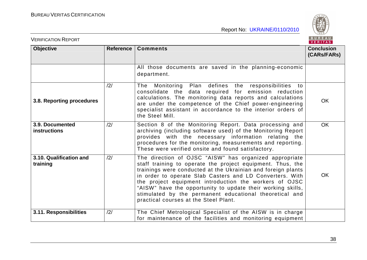

| <b>VERIFICATION REPORT</b>             |           |                                                                                                                                                                                                                                                                                                                                                                                                                                                                               | BUREAU<br><b>VERITAS</b>         |
|----------------------------------------|-----------|-------------------------------------------------------------------------------------------------------------------------------------------------------------------------------------------------------------------------------------------------------------------------------------------------------------------------------------------------------------------------------------------------------------------------------------------------------------------------------|----------------------------------|
| <b>Objective</b>                       | Reference | <b>Comments</b>                                                                                                                                                                                                                                                                                                                                                                                                                                                               | <b>Conclusion</b><br>(CARs/FARs) |
|                                        |           | All those documents are saved in the planning-economic<br>department.                                                                                                                                                                                                                                                                                                                                                                                                         |                                  |
| 3.8. Reporting procedures              | /2/       | Monitoring<br>Plan defines the responsibilities to<br>The<br>consolidate the data required for emission reduction<br>calculations. The monitoring data reports and calculations<br>are under the competence of the Chief power-engineering<br>specialist assistant in accordance to the interior orders of<br>the Steel Mill.                                                                                                                                                 | <b>OK</b>                        |
| 3.9. Documented<br><b>instructions</b> | /2/       | Section 8 of the Monitoring Report. Data processing and<br>archiving (including software used) of the Monitoring Report<br>provides with the necessary information relating the<br>procedures for the monitoring, measurements and reporting.<br>These were verified onsite and found satisfactory.                                                                                                                                                                           | <b>OK</b>                        |
| 3.10. Qualification and<br>training    | /2/       | The direction of OJSC "AISW" has organized appropriate<br>staff training to operate the project equipment. Thus, the<br>trainings were conducted at the Ukrainian and foreign plants<br>in order to operate Slab Casters and LD Converters. With<br>the project equipment introduction the workers of OJSC<br>"AISW" have the opportunity to update their working skills,<br>stimulated by the permanent educational theoretical and<br>practical courses at the Steel Plant. | OK                               |
| 3.11. Responsibilities                 | /2/       | The Chief Metrological Specialist of the AISW is in charge<br>for maintenance of the facilities and monitoring equipment                                                                                                                                                                                                                                                                                                                                                      |                                  |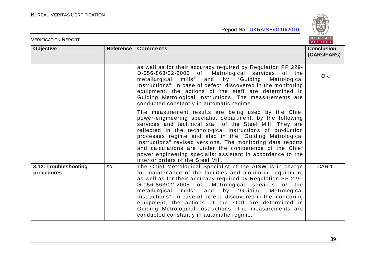

| <b>VERIFICATION REPORT</b>          |           |                                                                                                                                                                                                                                                                                                                                                                                                                                                                                                                                              | BUREAU<br>VERITAS                |
|-------------------------------------|-----------|----------------------------------------------------------------------------------------------------------------------------------------------------------------------------------------------------------------------------------------------------------------------------------------------------------------------------------------------------------------------------------------------------------------------------------------------------------------------------------------------------------------------------------------------|----------------------------------|
| <b>Objective</b>                    | Reference | <b>Comments</b>                                                                                                                                                                                                                                                                                                                                                                                                                                                                                                                              | <b>Conclusion</b><br>(CARs/FARs) |
|                                     |           | as well as for their accuracy required by Regulation PP 229-<br>3-056-863/02-2005 of "Metrological services of the<br>metallurgical mills" and by "Guiding<br>Metrological<br>Instructions". In case of defect, discovered in the monitoring<br>equipment, the actions of the staff are determined in<br>Guiding Metrological Instructions. The measurements are<br>conducted constantly in automatic regime.                                                                                                                                | <b>OK</b>                        |
|                                     |           | The measurement results are being used by the Chief<br>power-engineering specialist department, by the following<br>services and technical staff of the Steel Mill. They are<br>reflected in the technological instructions of production<br>processes regime and also in the "Guiding Metrological<br>Instructions" revised versions. The monitoring data reports<br>and calculations are under the competence of the Chief<br>power engineering specialist assistant in accordance to the<br>interior orders of the Steel Mill.            |                                  |
| 3.12. Troubleshooting<br>procedures | /2/       | The Chief Metrological Specialist of the AISW is in charge<br>for maintenance of the facilities and monitoring equipment<br>as well as for their accuracy required by Regulation PP 229-<br>3-056-863/02-2005 of "Metrological services of the<br>metallurgical mills" and<br>by "Guiding<br>Metrological<br>Instructions". In case of defect, discovered in the monitoring<br>equipment, the actions of the staff are determined in<br>Guiding Metrological Instructions. The measurements are<br>conducted constantly in automatic regime. | CAR <sub>1</sub>                 |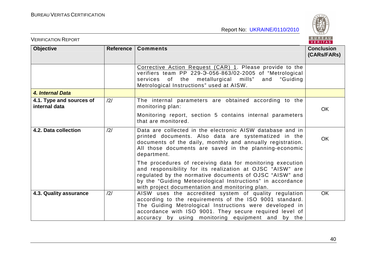BUREAU

| <b>VERIFICATION REPORT</b>                |           |                                                                                                                                                                                                                                                                                                    | BUREAU<br>VERITAS                |  |
|-------------------------------------------|-----------|----------------------------------------------------------------------------------------------------------------------------------------------------------------------------------------------------------------------------------------------------------------------------------------------------|----------------------------------|--|
| <b>Objective</b>                          | Reference | <b>Comments</b>                                                                                                                                                                                                                                                                                    | <b>Conclusion</b><br>(CARs/FARs) |  |
|                                           |           | Corrective Action Request (CAR) 1. Please provide to the<br>verifiers team PP 229-3-056-863/02-2005 of "Metrological<br>services of the metallurgical mills" and "Guiding<br>Metrological Instructions" used at AISW.                                                                              |                                  |  |
| 4. Internal Data                          |           |                                                                                                                                                                                                                                                                                                    |                                  |  |
| 4.1. Type and sources of<br>internal data | /2/       | The internal parameters are obtained according to the<br>monitoring plan:                                                                                                                                                                                                                          | <b>OK</b>                        |  |
|                                           |           | Monitoring report, section 5 contains internal parameters<br>that are monitored.                                                                                                                                                                                                                   |                                  |  |
| 4.2. Data collection                      | /2/       | Data are collected in the electronic AISW database and in<br>printed documents. Also data are systematized in the<br>documents of the daily, monthly and annually registration.<br>All those documents are saved in the planning-economic<br>department.                                           | <b>OK</b>                        |  |
|                                           |           | The procedures of receiving data for monitoring execution<br>and responsibility for its realization at OJSC "AISW" are<br>regulated by the normative documents of OJSC "AISW" and<br>by the "Guiding Meteorological Instructions" in accordance<br>with project documentation and monitoring plan. |                                  |  |
| 4.3. Quality assurance                    | /2/       | AISW uses the accredited system of quality regulation<br>according to the requirements of the ISO 9001 standard.<br>The Guiding Metrological Instructions were developed in<br>accordance with ISO 9001. They secure required level of<br>accuracy by using monitoring equipment and by the        | <b>OK</b>                        |  |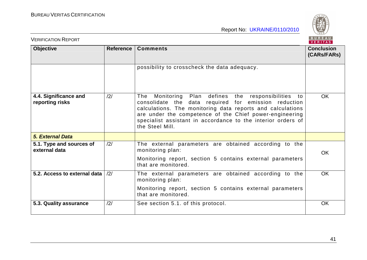

| <b>VERIFICATION REPORT</b>                | BUREAU<br>VERITAS |                                                                                                                                                                                                                                                                                                                               |                                  |
|-------------------------------------------|-------------------|-------------------------------------------------------------------------------------------------------------------------------------------------------------------------------------------------------------------------------------------------------------------------------------------------------------------------------|----------------------------------|
| <b>Objective</b>                          | Reference         | <b>Comments</b>                                                                                                                                                                                                                                                                                                               | <b>Conclusion</b><br>(CARs/FARs) |
|                                           |                   | possibility to crosscheck the data adequacy.                                                                                                                                                                                                                                                                                  |                                  |
| 4.4. Significance and<br>reporting risks  | /2/               | Plan defines the responsibilities to<br>The<br>Monitoring<br>consolidate the data required for emission reduction<br>calculations. The monitoring data reports and calculations<br>are under the competence of the Chief power-engineering<br>specialist assistant in accordance to the interior orders of<br>the Steel Mill. | <b>OK</b>                        |
| <b>5. External Data</b>                   |                   |                                                                                                                                                                                                                                                                                                                               |                                  |
| 5.1. Type and sources of<br>external data | /2/               | The external parameters are obtained according to the<br>monitoring plan:                                                                                                                                                                                                                                                     | OK                               |
|                                           |                   | Monitoring report, section 5 contains external parameters<br>that are monitored.                                                                                                                                                                                                                                              |                                  |
| 5.2. Access to external data              | $\frac{12}{1}$    | The external parameters are obtained according to the<br>monitoring plan:                                                                                                                                                                                                                                                     | <b>OK</b>                        |
|                                           |                   | Monitoring report, section 5 contains external parameters<br>that are monitored.                                                                                                                                                                                                                                              |                                  |
| 5.3. Quality assurance                    | /2/               | See section 5.1. of this protocol.                                                                                                                                                                                                                                                                                            | OK                               |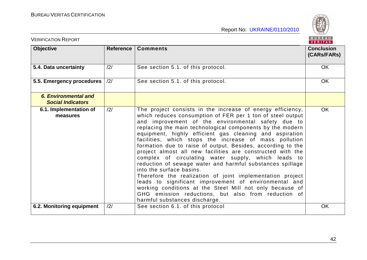

| <b>VERIFICATION REPORT</b>                              |           |                                                                                                                                                                                                                                                                                                                                                                                                                                                                                                                                                                                                                                                                                                                                                                                                                                                                                                                         | BUREAU<br><b>VERITAS</b>         |
|---------------------------------------------------------|-----------|-------------------------------------------------------------------------------------------------------------------------------------------------------------------------------------------------------------------------------------------------------------------------------------------------------------------------------------------------------------------------------------------------------------------------------------------------------------------------------------------------------------------------------------------------------------------------------------------------------------------------------------------------------------------------------------------------------------------------------------------------------------------------------------------------------------------------------------------------------------------------------------------------------------------------|----------------------------------|
| <b>Objective</b>                                        | Reference | <b>Comments</b>                                                                                                                                                                                                                                                                                                                                                                                                                                                                                                                                                                                                                                                                                                                                                                                                                                                                                                         | <b>Conclusion</b><br>(CARs/FARs) |
| 5.4. Data uncertainty                                   | /2/       | See section 5.1. of this protocol.                                                                                                                                                                                                                                                                                                                                                                                                                                                                                                                                                                                                                                                                                                                                                                                                                                                                                      | <b>OK</b>                        |
| 5.5. Emergency procedures                               | /2/       | See section 5.1. of this protocol.                                                                                                                                                                                                                                                                                                                                                                                                                                                                                                                                                                                                                                                                                                                                                                                                                                                                                      | OK                               |
| <b>6. Environmental and</b><br><b>Social Indicators</b> |           |                                                                                                                                                                                                                                                                                                                                                                                                                                                                                                                                                                                                                                                                                                                                                                                                                                                                                                                         |                                  |
| 6.1. Implementation of<br>measures                      | /2/       | The project consists in the increase of energy efficiency,<br>which reduces consumption of FER per 1 ton of steel output<br>and improvement of the environmental safety due to<br>replacing the main technological components by the modern<br>equipment, highly efficient gas cleaning and aspiration<br>facilities, which stops the increase of mass pollution<br>formation due to raise of output. Besides, according to the<br>project almost all new facilities are constructed with the<br>complex of circulating water supply, which leads to<br>reduction of sewage water and harmful substances spillage<br>into the surface basins.<br>Therefore the realization of joint implementation project<br>leads to significant improvement of environmental and<br>working conditions at the Steel Mill not only because of<br>GHG emission reductions, but also from reduction of<br>harmful substances discharge. | <b>OK</b>                        |
| 6.2. Monitoring equipment                               | /2/       | See section 6.1. of this protocol                                                                                                                                                                                                                                                                                                                                                                                                                                                                                                                                                                                                                                                                                                                                                                                                                                                                                       | <b>OK</b>                        |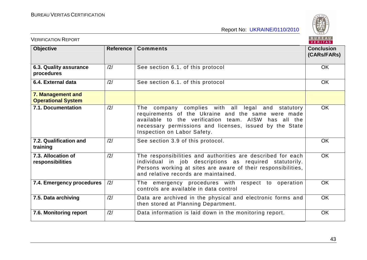

| <b>VERIFICATION REPORT</b>                     |                  |                                                                                                                                                                                                                                                              | BUREAU<br>VERITAS                |
|------------------------------------------------|------------------|--------------------------------------------------------------------------------------------------------------------------------------------------------------------------------------------------------------------------------------------------------------|----------------------------------|
| <b>Objective</b>                               | <b>Reference</b> | <b>Comments</b>                                                                                                                                                                                                                                              | <b>Conclusion</b><br>(CARs/FARs) |
| 6.3. Quality assurance<br>procedures           | /2/              | See section 6.1. of this protocol                                                                                                                                                                                                                            | <b>OK</b>                        |
| 6.4. External data                             | /2/              | See section 6.1. of this protocol                                                                                                                                                                                                                            | <b>OK</b>                        |
| 7. Management and<br><b>Operational System</b> |                  |                                                                                                                                                                                                                                                              |                                  |
| 7.1. Documentation                             | /2/              | company complies with all legal and statutory<br>The<br>requirements of the Ukraine and the same were made<br>available to the verification team. AISW has all the<br>necessary permissions and licenses, issued by the State<br>Inspection on Labor Safety. | <b>OK</b>                        |
| 7.2. Qualification and<br>training             | /2/              | See section 3.9 of this protocol.                                                                                                                                                                                                                            | OK                               |
| 7.3. Allocation of<br>responsibilities         | /2/              | The responsibilities and authorities are described for each<br>individual in job descriptions as required statutorily.<br>Persons working at sites are aware of their responsibilities,<br>and relative records are maintained.                              | <b>OK</b>                        |
| 7.4. Emergency procedures                      | /2/              | The emergency procedures with respect to operation<br>controls are available in data control                                                                                                                                                                 | <b>OK</b>                        |
| 7.5. Data archiving                            | /2/              | Data are archived in the physical and electronic forms and<br>then stored at Planning Department.                                                                                                                                                            | <b>OK</b>                        |
| 7.6. Monitoring report                         | /2/              | Data information is laid down in the monitoring report.                                                                                                                                                                                                      | <b>OK</b>                        |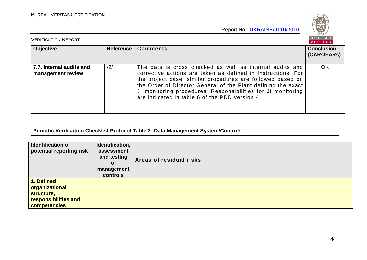

| <b>VERIFICATION REPORT</b>                    |                |                                                                                                                                                                                                                                                                                                                                                                           | <b>BUREAU</b><br><b>VERITAS</b>  |
|-----------------------------------------------|----------------|---------------------------------------------------------------------------------------------------------------------------------------------------------------------------------------------------------------------------------------------------------------------------------------------------------------------------------------------------------------------------|----------------------------------|
| <b>Objective</b>                              | Reference      | <b>Comments</b>                                                                                                                                                                                                                                                                                                                                                           | <b>Conclusion</b><br>(CARS/FARS) |
| 7.7. Internal audits and<br>management review | $\frac{12}{1}$ | The data is cross checked as well as internal audits and<br>corrective actions are taken as defined in Instructions. For<br>the project case, similar procedures are followed based on<br>the Order of Director General of the Plant defining the exact<br>JI monitoring procedures. Responsibilities for JI monitoring<br>are indicated in table 6 of the PDD version 4. | <b>OK</b>                        |

**Periodic Verification Checklist Protocol Table 2: Data Management System/Controls** 

| Identification of<br>potential reporting risk                                                    | Identification,<br>assessment<br>and testing<br><b>of</b><br>management<br>controls | Areas of residual risks |
|--------------------------------------------------------------------------------------------------|-------------------------------------------------------------------------------------|-------------------------|
| 1. Defined<br><b>organizational</b><br>structure,<br>responsibilities and<br><b>competencies</b> |                                                                                     |                         |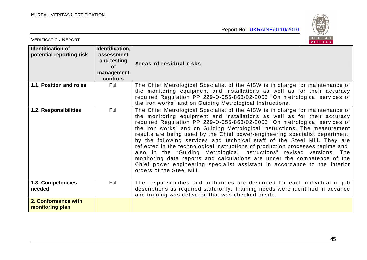

| <b>VERIFICATION REPORT</b>                           |                                                                              | BUREAU<br>VERITAS                                                                                                                                                                                                                                                                                                                                                                                                                                                                                                                                                                                                                                                                                                                                                                                                                  |
|------------------------------------------------------|------------------------------------------------------------------------------|------------------------------------------------------------------------------------------------------------------------------------------------------------------------------------------------------------------------------------------------------------------------------------------------------------------------------------------------------------------------------------------------------------------------------------------------------------------------------------------------------------------------------------------------------------------------------------------------------------------------------------------------------------------------------------------------------------------------------------------------------------------------------------------------------------------------------------|
| <b>Identification of</b><br>potential reporting risk | Identification,<br>assessment<br>and testing<br>of<br>management<br>controls | Areas of residual risks                                                                                                                                                                                                                                                                                                                                                                                                                                                                                                                                                                                                                                                                                                                                                                                                            |
| 1.1. Position and roles                              | Full                                                                         | The Chief Metrological Specialist of the AISW is in charge for maintenance of<br>the monitoring equipment and installations as well as for their accuracy<br>required Regulation PP 229-3-056-863/02-2005 "On metrological services of<br>the iron works" and on Guiding Metrological Instructions.                                                                                                                                                                                                                                                                                                                                                                                                                                                                                                                                |
| 1.2. Responsibilities                                | Full                                                                         | The Chief Metrological Specialist of the AISW is in charge for maintenance of<br>the monitoring equipment and installations as well as for their accuracy<br>required Regulation PP 229-3-056-863/02-2005 "On metrological services of<br>the iron works" and on Guiding Metrological Instructions. The measurement<br>results are being used by the Chief power-engineering specialist department,<br>by the following services and technical staff of the Steel Mill. They are<br>reflected in the technological instructions of production processes regime and<br>also in the "Guiding Metrological Instructions" revised versions. The<br>monitoring data reports and calculations are under the competence of the<br>Chief power engineering specialist assistant in accordance to the interior<br>orders of the Steel Mill. |
| 1.3. Competencies<br>needed                          | Full                                                                         | The responsibilities and authorities are described for each individual in job<br>descriptions as required statutorily. Training needs were identified in advance<br>and training was delivered that was checked onsite.                                                                                                                                                                                                                                                                                                                                                                                                                                                                                                                                                                                                            |
| 2. Conformance with<br>monitoring plan               |                                                                              |                                                                                                                                                                                                                                                                                                                                                                                                                                                                                                                                                                                                                                                                                                                                                                                                                                    |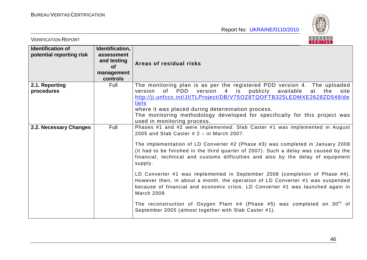

| <b>VERIFICATION REPORT</b>                           |                                                                                     | BUREAU<br><b>VERITAS</b>                                                                                                                                                                                                                                                                                                                                                                                                                                                                                                                                                                                                                                                                                                                                                                                       |
|------------------------------------------------------|-------------------------------------------------------------------------------------|----------------------------------------------------------------------------------------------------------------------------------------------------------------------------------------------------------------------------------------------------------------------------------------------------------------------------------------------------------------------------------------------------------------------------------------------------------------------------------------------------------------------------------------------------------------------------------------------------------------------------------------------------------------------------------------------------------------------------------------------------------------------------------------------------------------|
| <b>Identification of</b><br>potential reporting risk | Identification,<br>assessment<br>and testing<br><b>of</b><br>management<br>controls | Areas of residual risks                                                                                                                                                                                                                                                                                                                                                                                                                                                                                                                                                                                                                                                                                                                                                                                        |
| 2.1. Reporting<br>procedures                         | Full                                                                                | The monitoring plan is as per the registered PDD version 4. The uploaded<br>of PDD version 4 is publicly available<br>version<br>at<br>the<br>site<br>http://ji.unfccc.int/JIITLProject/DB/V75OZ8TQOFTB325LEDMXE2628ZD548/de<br>tails<br>where it was placed during determination process.<br>The monitoring methodology developed for specifically for this project was<br>used in monitoring process.                                                                                                                                                                                                                                                                                                                                                                                                        |
| 2.2. Necessary Changes                               | Full                                                                                | Phases #1 and #2 were implemented: Slab Caster #1 was implemented in August<br>2005 and Slab Caster $# 2 - in$ March 2007.<br>The implementation of LD Converter #2 (Phase #3) was completed in January 2008<br>(it had to be finished in the third quarter of 2007). Such a delay was caused by the<br>financial, technical and customs difficulties and also by the delay of equipment<br>supply.<br>LD Converter #1 was implemented in September 2008 (completion of Phase #4).<br>However then, in about a month, the operation of LD Converter #1 was suspended<br>because of financial and economic crisis. LD Converter #1 was launched again in<br>March 2009.<br>The reconstruction of Oxygen Plant #4 (Phase #5) was completed on $30th$ of<br>September 2005 (almost together with Slab Caster #1). |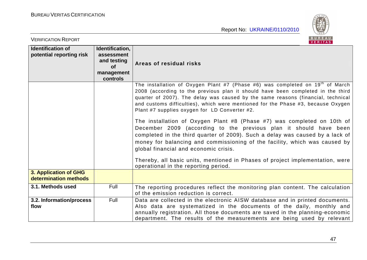

| <b>VERIFICATION REPORT</b>                           |                                                                                     | BUREAU<br>VERITAS                                                                                                                                                                                                                                                                                                                                                                           |
|------------------------------------------------------|-------------------------------------------------------------------------------------|---------------------------------------------------------------------------------------------------------------------------------------------------------------------------------------------------------------------------------------------------------------------------------------------------------------------------------------------------------------------------------------------|
| <b>Identification of</b><br>potential reporting risk | Identification,<br>assessment<br>and testing<br><b>of</b><br>management<br>controls | Areas of residual risks                                                                                                                                                                                                                                                                                                                                                                     |
|                                                      |                                                                                     | The installation of Oxygen Plant #7 (Phase #6) was completed on $19th$ of March<br>2008 (according to the previous plan it should have been completed in the third<br>quarter of 2007). The delay was caused by the same reasons (financial, technical<br>and customs difficulties), which were mentioned for the Phase #3, because Oxygen<br>Plant #7 supplies oxygen for LD Converter #2. |
|                                                      |                                                                                     | The installation of Oxygen Plant #8 (Phase #7) was completed on 10th of<br>December 2009 (according to the previous plan it should have been<br>completed in the third quarter of 2009). Such a delay was caused by a lack of<br>money for balancing and commissioning of the facility, which was caused by<br>global financial and economic crisis.                                        |
|                                                      |                                                                                     | Thereby, all basic units, mentioned in Phases of project implementation, were<br>operational in the reporting period.                                                                                                                                                                                                                                                                       |
| 3. Application of GHG<br>determination methods       |                                                                                     |                                                                                                                                                                                                                                                                                                                                                                                             |
| 3.1. Methods used                                    | Full                                                                                | The reporting procedures reflect the monitoring plan content. The calculation<br>of the emission reduction is correct.                                                                                                                                                                                                                                                                      |
| 3.2. Information/process<br>flow                     | Full                                                                                | Data are collected in the electronic AISW database and in printed documents.<br>Also data are systematized in the documents of the daily, monthly and<br>annually registration. All those documents are saved in the planning-economic<br>department. The results of the measurements are being used by relevant                                                                            |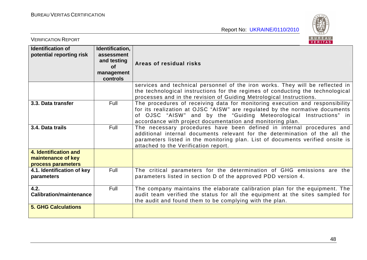

| <b>VERIFICATION REPORT</b>                                        |                                                                              | BUREAU<br><b>VERITAS</b>                                                                                                                                                                                                                                                                        |
|-------------------------------------------------------------------|------------------------------------------------------------------------------|-------------------------------------------------------------------------------------------------------------------------------------------------------------------------------------------------------------------------------------------------------------------------------------------------|
| <b>Identification of</b><br>potential reporting risk              | Identification,<br>assessment<br>and testing<br>of<br>management<br>controls | Areas of residual risks                                                                                                                                                                                                                                                                         |
|                                                                   |                                                                              | services and technical personnel of the iron works. They will be reflected in<br>the technological instructions for the regimes of conducting the technological<br>processes and in the revision of Guiding Metrological Instructions.                                                          |
| 3.3. Data transfer                                                | Full                                                                         | The procedures of receiving data for monitoring execution and responsibility<br>for its realization at OJSC "AISW" are regulated by the normative documents<br>of OJSC "AISW" and by the "Guiding Meteorological Instructions" in<br>accordance with project documentation and monitoring plan. |
| 3.4. Data trails                                                  | Full                                                                         | The necessary procedures have been defined in internal procedures and<br>additional internal documents relevant for the determination of the all the<br>parameters listed in the monitoring plan. List of documents verified onsite is<br>attached to the Verification report.                  |
| 4. Identification and<br>maintenance of key<br>process parameters |                                                                              |                                                                                                                                                                                                                                                                                                 |
| 4.1. Identification of key<br>parameters                          | <b>Full</b>                                                                  | The critical parameters for the determination of GHG emissions are the<br>parameters listed in section D of the approved PDD version 4.                                                                                                                                                         |
| 4.2.<br><b>Calibration/maintenance</b>                            | Full                                                                         | The company maintains the elaborate calibration plan for the equipment. The<br>audit team verified the status for all the equipment at the sites sampled for<br>the audit and found them to be complying with the plan.                                                                         |
| <b>5. GHG Calculations</b>                                        |                                                                              |                                                                                                                                                                                                                                                                                                 |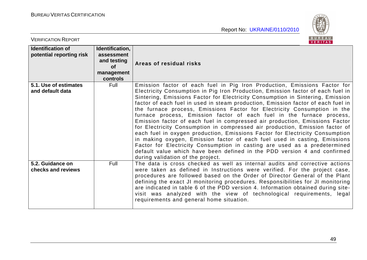

| <b>VERIFICATION REPORT</b>                           |                                                                                     | BUREAU<br>VERITAS                                                                                                                                                                                                                                                                                                                                                                                                                                                                                                                                                                                                                                                                                                                                                                                                                                                                                                                                                                                                 |
|------------------------------------------------------|-------------------------------------------------------------------------------------|-------------------------------------------------------------------------------------------------------------------------------------------------------------------------------------------------------------------------------------------------------------------------------------------------------------------------------------------------------------------------------------------------------------------------------------------------------------------------------------------------------------------------------------------------------------------------------------------------------------------------------------------------------------------------------------------------------------------------------------------------------------------------------------------------------------------------------------------------------------------------------------------------------------------------------------------------------------------------------------------------------------------|
| <b>Identification of</b><br>potential reporting risk | Identification,<br>assessment<br>and testing<br><b>of</b><br>management<br>controls | Areas of residual risks                                                                                                                                                                                                                                                                                                                                                                                                                                                                                                                                                                                                                                                                                                                                                                                                                                                                                                                                                                                           |
| 5.1. Use of estimates<br>and default data            | Full                                                                                | Emission factor of each fuel in Pig Iron Production, Emissions Factor for<br>Electricity Consumption in Pig Iron Production, Emission factor of each fuel in<br>Sintering, Emissions Factor for Electricity Consumption in Sintering, Emission<br>factor of each fuel in used in steam production, Emission factor of each fuel in<br>the furnace process, Emissions Factor for Electricity Consumption in the<br>furnace process, Emission factor of each fuel in the furnace process,<br>Emission factor of each fuel in compressed air production, Emissions Factor<br>for Electricity Consumption in compressed air production, Emission factor of<br>each fuel in oxygen production, Emissions Factor for Electricity Consumption<br>in making oxygen, Emission factor of each fuel used in casting, Emissions<br>Factor for Electricity Consumption in casting are used as a predetermined<br>default value which have been defined in the PDD version 4 and confirmed<br>during validation of the project. |
| 5.2. Guidance on<br>checks and reviews               | Full                                                                                | The data is cross checked as well as internal audits and corrective actions<br>were taken as defined in Instructions were verified. For the project case,<br>procedures are followed based on the Order of Director General of the Plant<br>defining the exact JI monitoring procedures. Responsibilities for JI monitoring<br>are indicated in table 6 of the PDD version 4. Information obtained during site-<br>visit was analyzed with the view of technological requirements, legal<br>requirements and general home situation.                                                                                                                                                                                                                                                                                                                                                                                                                                                                              |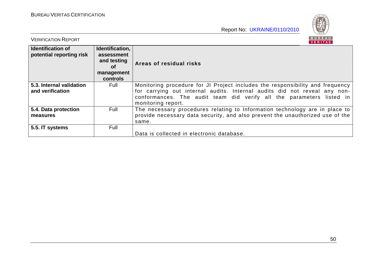

| <b>VERIFICATION REPORT</b>                           |                                                                              | <b>RURFAU</b><br>VERITAS                                                                                                                                                                                                           |
|------------------------------------------------------|------------------------------------------------------------------------------|------------------------------------------------------------------------------------------------------------------------------------------------------------------------------------------------------------------------------------|
| <b>Identification of</b><br>potential reporting risk | Identification,<br>assessment<br>and testing<br>0f<br>management<br>controls | Areas of residual risks                                                                                                                                                                                                            |
| 5.3. Internal validation<br>and verification         | Full                                                                         | Monitoring procedure for JI Project includes the responsibility and frequency<br>for carrying out internal audits. Internal audits did not reveal any non-<br>conformances. The audit team did verify all the parameters listed in |
|                                                      |                                                                              | monitoring report.                                                                                                                                                                                                                 |
| 5.4. Data protection                                 | Full                                                                         | The necessary procedures relating to Information technology are in place to                                                                                                                                                        |
| measures                                             |                                                                              | provide necessary data security, and also prevent the unauthorized use of the                                                                                                                                                      |
|                                                      |                                                                              | same.                                                                                                                                                                                                                              |
| 5.5. IT systems                                      | Full                                                                         |                                                                                                                                                                                                                                    |
|                                                      |                                                                              | Data is collected in electronic database.                                                                                                                                                                                          |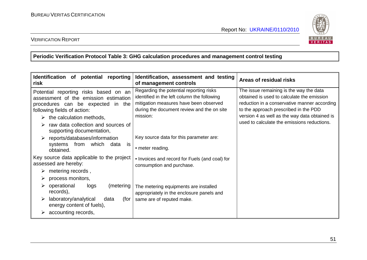

#### VERIFICATION REPORT

**Periodic Verification Protocol Table 3: GHG calculation procedures and management control testing** 

| Identification of potential<br>reporting<br>risk                                                                                                                                                                                                                                                                                                   | Identification, assessment and testing<br>of management controls                                                                                                                                                                      | Areas of residual risks                                                                                                                                                                                                                                                        |
|----------------------------------------------------------------------------------------------------------------------------------------------------------------------------------------------------------------------------------------------------------------------------------------------------------------------------------------------------|---------------------------------------------------------------------------------------------------------------------------------------------------------------------------------------------------------------------------------------|--------------------------------------------------------------------------------------------------------------------------------------------------------------------------------------------------------------------------------------------------------------------------------|
| Potential reporting risks based on an<br>assessment of the emission estimation<br>procedures can be expected in the<br>following fields of action:<br>the calculation methods,<br>➤<br>raw data collection and sources of<br>supporting documentation,<br>$\triangleright$ reports/databases/information<br>from<br>which<br>systems<br>is<br>data | Regarding the potential reporting risks<br>identified in the left column the following<br>mitigation measures have been observed<br>during the document review and the on site<br>mission:<br>Key source data for this parameter are: | The issue remaining is the way the data<br>obtained is used to calculate the emission<br>reduction in a conservative manner according<br>to the approach prescribed in the PDD<br>version 4 as well as the way data obtained is<br>used to calculate the emissions reductions. |
| obtained.                                                                                                                                                                                                                                                                                                                                          | • meter reading.                                                                                                                                                                                                                      |                                                                                                                                                                                                                                                                                |
| Key source data applicable to the project<br>assessed are hereby:                                                                                                                                                                                                                                                                                  | • Invoices and record for Fuels (and coal) for<br>consumption and purchase.                                                                                                                                                           |                                                                                                                                                                                                                                                                                |
| metering records,<br>➤<br>process monitors,<br>➤                                                                                                                                                                                                                                                                                                   |                                                                                                                                                                                                                                       |                                                                                                                                                                                                                                                                                |
| operational<br>logs<br>(metering<br>records),                                                                                                                                                                                                                                                                                                      | The metering equipments are installed<br>appropriately in the enclosure panels and                                                                                                                                                    |                                                                                                                                                                                                                                                                                |
| laboratory/analytical<br>(for<br>➤<br>data<br>energy content of fuels),                                                                                                                                                                                                                                                                            | same are of reputed make.                                                                                                                                                                                                             |                                                                                                                                                                                                                                                                                |
| accounting records,                                                                                                                                                                                                                                                                                                                                |                                                                                                                                                                                                                                       |                                                                                                                                                                                                                                                                                |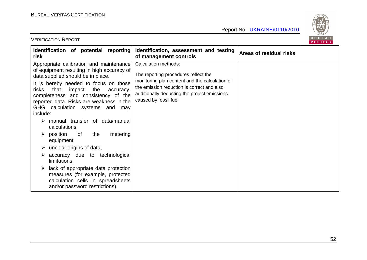

| Identification of potential reporting<br>risk                                                                                                                                                                                                                                                                                                                                                                                                                                                                                                                                                                                                                                                                            | Identification, assessment and testing<br>of management controls                                                                                                                                                                              | Areas of residual risks |
|--------------------------------------------------------------------------------------------------------------------------------------------------------------------------------------------------------------------------------------------------------------------------------------------------------------------------------------------------------------------------------------------------------------------------------------------------------------------------------------------------------------------------------------------------------------------------------------------------------------------------------------------------------------------------------------------------------------------------|-----------------------------------------------------------------------------------------------------------------------------------------------------------------------------------------------------------------------------------------------|-------------------------|
| Appropriate calibration and maintenance<br>of equipment resulting in high accuracy of<br>data supplied should be in place.<br>It is hereby needed to focus on those<br>that<br>impact<br>the<br>risks<br>accuracy,<br>completeness and consistency of the<br>reported data. Risks are weakness in the<br>GHG calculation systems and<br>may<br>include:<br>manual transfer of data/manual<br>calculations,<br>$\triangleright$ position<br>the<br>metering<br>of.<br>equipment,<br>unclear origins of data,<br>➤<br>accuracy due to technological<br>➤<br>limitations,<br>lack of appropriate data protection<br>measures (for example, protected<br>calculation cells in spreadsheets<br>and/or password restrictions). | <b>Calculation methods:</b><br>The reporting procedures reflect the<br>monitoring plan content and the calculation of<br>the emission reduction is correct and also<br>additionally deducting the project emissions<br>caused by fossil fuel. |                         |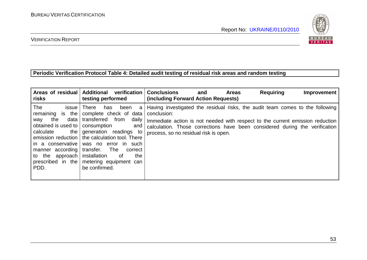

### VERIFICATION REPORT

#### **Periodic Verification Protocol Table 4: Detailed audit testing of residual risk areas and random testing**

| Areas of residual<br>risks                                                                                                                                                                          | <b>Additional</b><br>verification<br>testing performed                                                                                                                                                                                                                                                                 | <b>Requiring</b><br><b>Conclusions</b><br><b>Areas</b><br>Improvement<br>and<br>(including Forward Action Requests)                                                                                                                                                                                   |
|-----------------------------------------------------------------------------------------------------------------------------------------------------------------------------------------------------|------------------------------------------------------------------------------------------------------------------------------------------------------------------------------------------------------------------------------------------------------------------------------------------------------------------------|-------------------------------------------------------------------------------------------------------------------------------------------------------------------------------------------------------------------------------------------------------------------------------------------------------|
| The<br><i>issue</i><br>remaining is the<br>data<br>the<br>way<br>obtained is used to<br>the  <br>calculate<br>in a conservative<br>manner according<br>to the approach<br>prescribed in the<br>PDD. | There<br>been<br>has<br>a<br>complete check of data<br>transferred<br>daily<br>from<br>consumption<br>and<br>generation readings to<br>emission reduction   the calculation tool. There<br>was no error in such<br>transfer.<br>The<br>correct<br>installation<br>the<br>of<br>metering equipment can<br>be confirmed. | Having investigated the residual risks, the audit team comes to the following<br>conclusion:<br>Immediate action is not needed with respect to the current emission reduction<br>calculation. Those corrections have been considered during the verification<br>process, so no residual risk is open. |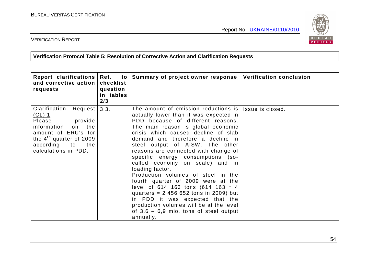

VERIFICATION REPORT

**Verification Protocol Table 5: Resolution of Corrective Action and Clarification Requests** 

| Report clarifications<br>and corrective action<br>requests                                                                                                                                                  | Ref.<br>checklist<br>question<br>in tables<br>2/3 | to Summary of project owner response                                                                                                                                                                                                                                                                                                                                                                                                                                                                                                                                                                                                                                                                               | <b>Verification conclusion</b> |
|-------------------------------------------------------------------------------------------------------------------------------------------------------------------------------------------------------------|---------------------------------------------------|--------------------------------------------------------------------------------------------------------------------------------------------------------------------------------------------------------------------------------------------------------------------------------------------------------------------------------------------------------------------------------------------------------------------------------------------------------------------------------------------------------------------------------------------------------------------------------------------------------------------------------------------------------------------------------------------------------------------|--------------------------------|
| <u>Clarification</u><br><u>Request</u><br><u>(CL) 1</u><br>Please<br>provide<br>information<br>on<br>the<br>amount of ERU's for<br>the $4th$ quarter of 2009<br>according to<br>the<br>calculations in PDD. | 3.3.                                              | The amount of emission reductions is  <br>actually lower than it was expected in<br>PDD because of different reasons.<br>The main reason is global economic<br>crisis which caused decline of slab<br>demand and therefore a decline in<br>steel output of AISW. The other<br>reasons are connected with change of<br>specific energy consumptions (so-<br>called economy on scale) and in<br>loading factor.<br>Production volumes of steel in the<br>fourth quarter of 2009 were at the<br>level of 614 163 tons (614 163 * 4<br>quarters = $2,456,652$ tons in 2009) but<br>in PDD it was expected that the<br>production volumes will be at the level<br>of $3,6 - 6,9$ mio. tons of steel output<br>annually. | Issue is closed.               |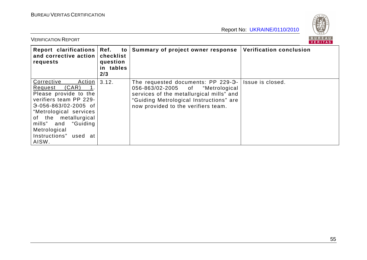

| <b>VERIFICATION REPORT</b>                                                                                                                                                                                                                             |                                                         |                                                                                                                                                                                                      | <b>BURFAU</b><br><b>VERITAS</b> |
|--------------------------------------------------------------------------------------------------------------------------------------------------------------------------------------------------------------------------------------------------------|---------------------------------------------------------|------------------------------------------------------------------------------------------------------------------------------------------------------------------------------------------------------|---------------------------------|
| Report clarifications<br>and corrective action<br>requests                                                                                                                                                                                             | Ref.<br>to<br>checklist<br>question<br>in tables<br>2/3 | Summary of project owner response                                                                                                                                                                    | <b>Verification conclusion</b>  |
| Corrective<br>Action  <br>(CAR)<br>Request<br>Please provide to the<br>verifiers team PP 229-<br>$-0.56 - 863/02 - 2005$ of<br>"Metrological services<br>of the metallurgical<br>mills" and "Guiding<br>Metrological<br>Instructions" used at<br>AISW. | 3.12.                                                   | The requested documents: PP 229-3-<br>056-863/02-2005 of "Metrological<br>services of the metallurgical mills" and<br>"Guiding Metrological Instructions" are<br>now provided to the verifiers team. | Issue is closed.                |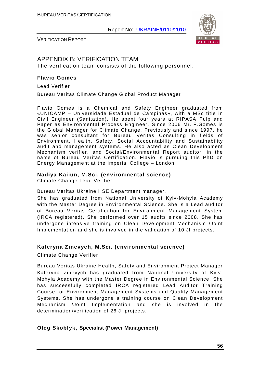

VERIFICATION REPORT

# APPENDIX B: VERIFICATION TEAM

The verification team consists of the following personnel:

#### **Flavio Gomes**

Lead Verifier

Bureau Veritas Climate Change Global Product Manager

Flavio Gomes is a Chemical and Safety Engineer graduated from «UNICAMP – Universidade Estadual de Campinas», with a MSc title in Civil Engineer (Sanitation). He spent four years at RIPASA Pulp and Paper as Environmental Process Engineer. Since 2006 Mr. F.Gomes is the Global Manager for Climate Change. Previously and since 1997, he was senior consultant for Bureau Veritas Consulting in fields of Environment, Health, Safety, Social Accountability and Sustainability audit and management systems. He also acted as Clean Development Mechanism verifier, and Social/Environmental Report auditor, in the name of Bureau Veritas Certification. Flavio is pursuing this PhD on Energy Management at the Imperial College – London.

#### **Nadiya Kaiiun, M.Sci. (environmental science)**

Climate Change Lead Verifier

Bureau Veritas Ukraine HSE Department manager.

She has graduated from National University of Kyiv-Mohyla Academy with the Master Degree in Environmental Science. She is a Lead auditor of Bureau Veritas Certification for Environment Management System (IRCA registered). She performed over 15 audits since 2008. She has undergone intensive training on Clean Development Mechanism /Joint Implementation and she is involved in the validation of 10 JI projects.

### **Kateryna Zinevych, M.Sci. (environmental science)**

Climate Change Verifier

Bureau Veritas Ukraine Health, Safety and Environment Project Manager Kateryna Zinevych has graduated from National University of Kyiv-Mohyla Academy with the Master Degree in Environmental Science. She has successfully completed IRCA registered Lead Auditor Training Course for Environment Management Systems and Quality Management Systems. She has undergone a training course on Clean Development Mechanism /Joint Implementation and she is involved in the determination/verification of 26 JI projects.

#### **Oleg Skoblyk, Specialist (Power Management)**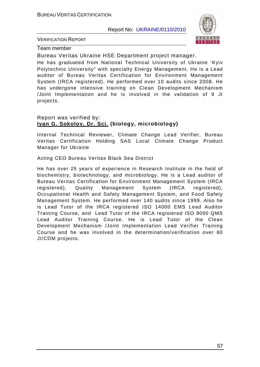

VERIFICATION REPORT

Team member

Bureau Veritas Ukraine HSE Department project manager.

He has graduated from National Technical University of Ukraine 'Kyiv Polytechnic University" with specialty Energy Management. He is a Lead auditor of Bureau Veritas Certification for Environment Management System (IRCA registered). He performed over 10 audits since 2008. He has undergone intensive training on Clean Development Mechanism /Joint Implementation and he is involved in the validation of 9 JI projects.

#### Report was verified by: **Ivan G. Sokolov, Dr. Sci. (biology, microbiology)**

Internal Technical Reviewer, Climate Change Lead Verifier, Bureau Veritas Certification Holding SAS Local Climate Change Product Manager for Ukraine

Acting CEO Bureau Veritas Black Sea District

He has over 25 years of experience in Research Institute in the field of biochemistry, biotechnology, and microbiology. He is a Lead auditor of Bureau Veritas Certification for Environment Management System (IRCA registered), Quality Management System (IRCA registered), Occupational Health and Safety Management System, and Food Safety Management System. He performed over 140 audits since 1999. Also he is Lead Tutor of the IRCA registered ISO 14000 EMS Lead Auditor Training Course, and Lead Tutor of the IRCA registered ISO 9000 QMS Lead Auditor Training Course. He is Lead Tutor of the Clean Development Mechanism /Joint Implementation Lead Verifier Training Course and he was involved in the determination/verification over 60 JI/CDM projects.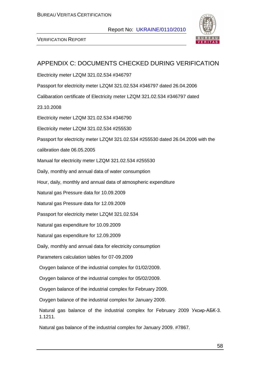

| APPENDIX C: DOCUMENTS CHECKED DURING VERIFICATION                                       |
|-----------------------------------------------------------------------------------------|
| Electricity meter LZQM 321.02.534 #346797                                               |
| Passport for electricity meter LZQM 321.02.534 #346797 dated 26.04.2006                 |
| Calibaration certificate of Electricity meter LZQM 321.02.534 #346797 dated             |
| 23.10.2008                                                                              |
| Electricity meter LZQM 321.02.534 #346790                                               |
| Electricity meter LZQM 321.02.534 #255530                                               |
| Passport for electricity meter LZQM 321.02.534 #255530 dated 26.04.2006 with the        |
| calibration date 06.05.2005                                                             |
| Manual for electricity meter LZQM 321.02.534 #255530                                    |
| Daily, monthly and annual data of water consumption                                     |
| Hour, daily, monthly and annual data of atmospheric expenditure                         |
| Natural gas Pressure data for 10.09.2009                                                |
| Natural gas Pressure data for 12.09.2009                                                |
| Passport for electricity meter LZQM 321.02.534                                          |
| Natural gas expenditure for 10.09.2009                                                  |
| Natural gas expenditure for 12.09.2009                                                  |
| Daily, monthly and annual data for electricity consumption                              |
| Parameters calculation tables for 07-09.2009                                            |
| Oxygen balance of the industrial complex for 01/02/2009.                                |
| Oxygen balance of the industrial complex for 05/02/2009.                                |
| Oxygen balance of the industrial complex for February 2009.                             |
| Oxygen balance of the industrial complex for January 2009.                              |
| Natural gas balance of the industrial complex for February 2009 Уксир-АБК-3.<br>1.1211. |
| Natural gas balance of the industrial complex for January 2009. #7867.                  |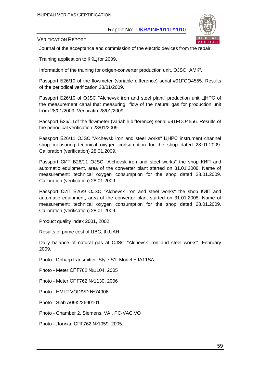

VERIFICATION REPORT

Journal of the acceptance and commission of the electric devices from the repair.

Training application to ККЦ for 2009.

Information of the training for oxigen-converter production unit. OJSC "АМК".

Passport Б26/10 of the flowmeter (variable difference) serial #91FCO4555. Results of the periodical verification 28/01/2009.

Passport Б26/10 of OJSC "Alchevsk iron and steel plant" production unit ЦНРС of the measurement canal that measuring flow of the natural gas for production unit from 28/01/2009. Verificatin 28/01/2009.

Passport Б26/11of the flowmeter (variable difference) serial #91FCO4556. Results of the periodical verification 28/01/2009.

Passport Б26/11 OJSC "Alchevsk iron and steel works" ЦНРС instrument channel shop measuring technical oxygen consumption for the shop dated 28.01.2009. Calibration (verification) 28.01.2009.

Passport СИТ Б26/11 OJSC "Alchevsk iron and steel works" the shop КИП and automatic equipment, area of the converter plant started on 31.01.2008. Name of measurement: technical oxygen consumption for the shop dated 28.01.2009. Calibration (verification) 28.01.2009.

Passport СИТ Б26/9 OJSC "Alchevsk iron and steel works" the shop КИП and automatic equipment, area of the converter plant started on 31.01.2008. Name of measurement: technical oxygen consumption for the shop dated 28.01.2009. Calibration (verification) 28.01.2009.

Product quality index 2001, 2002.

Results of prime cost of ЦВС, th.UAH.

Daily balance of natural gas at OJSC "Alchevsk iron and steel works". February 2009.

Photo - Dpharp transmitter. Style S1. Model EJA11SA

Photo - Meter СПГ762 №1104, 2005

Photo - Meter СПГ762 №1130, 2006

Photo - HMI 2 VOD/VD №74906

Photo - Slab А09К22690101

Photo - Chamber 2. Siemens. VAI. PC-VAC.VO

Photo - Логика. СПГ762 №1059. 2005.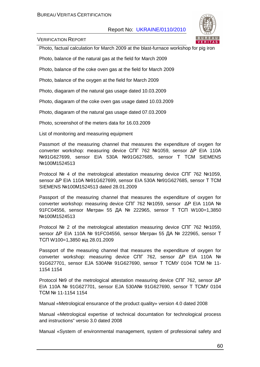

VERIFICATION REPORT

Photo, factual calculation for March 2009 at the blast-furnace workshop for pig iron

Photo, balance of the natural gas at the field for March 2009

Photo, balance of the coke oven gas at the field for March 2009

Photo, balance of the oxygen at the field for March 2009

Photo, diagaram of the natural gas usage dated 10.03.2009

Photo, diagaram of the coke oven gas usage dated 10.03.2009

Photo, diagaram of the natural gas usage dated 07.03.2009

Photo, screenshot of the meters data for 16.03.2009

List of monitoring and measuring equipment

Passmort of the measuring channel that measures the expenditure of oxygen for converter workshop: measuring device СПГ 762 №1059, sensor ∆Р EIA 110А №91G627699, sensor EIA 530А №91G627685, sensor Т ТСМ SIEMENS №100М1524513

Protocol № 4 of the metrological attestation measuring device СПГ 762 №1059, sensor ∆Р EIA 110А №91G627699, sensor EIA 530А №91G627685, sensor Т ТСМ SIEMENS №100М1524513 dated 28.01.2009

Passport of the measuring channel that measures the expenditure of oxygen for converter workshop: measuring device СПГ 762 №1059, sensor ∆Р EIA 110А № 91FC04556, sensor Метран 55 ДА № 222965, sensor Т ТСП W100=1,3850 №100М1524513

Protocol № 2 of the metrological attestation measuring device СПГ 762 №1059, sensor ∆Р EIA 110А № 91FC04556, sensor Метран 55 ДА № 222965, sensor Т ТСП W100=1,3850 від 28.01.2009

Passport of the measuring channel that measures the expenditure of oxygen for converter workshop: measuring device СПГ 762, sensor ∆Р EIA 110А № 91G627701, sensor EJA 530A№ 91G627690, sensor Т ТСМУ 0104 ТСМ № 11- 1154 1154

Protocol №9 of the metrological attestation measuring device СПГ 762, sensor ∆Р EIA 110А № 91G627701, sensor EJA 530A№ 91G627690, sensor Т ТСМУ 0104 ТСМ № 11-1154 1154

Manual «Metrological ensurance of the product quality» version 4.0 dated 2008

Manual «Metrological expertise of technical documtation for technological process and instructions" versio 3.0 dated 2008

Manual «System of environmental management, system of professional safety and